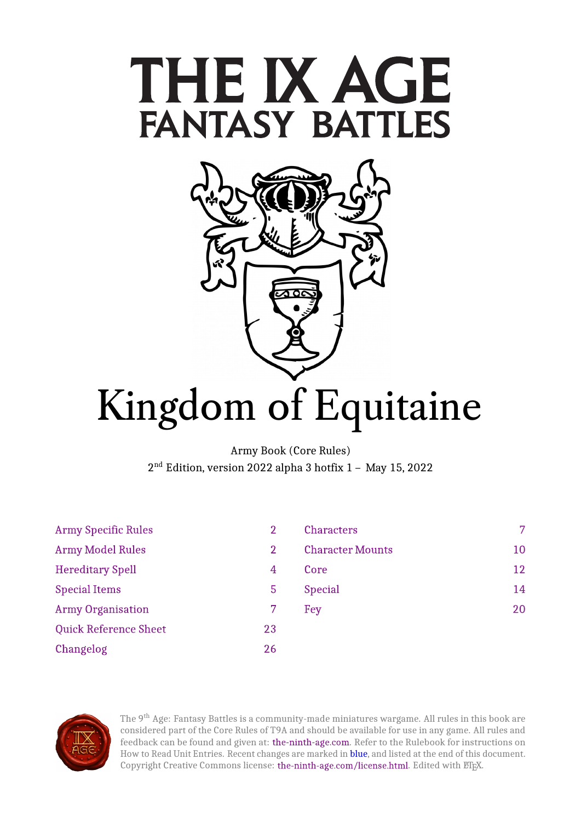



# Kingdom of Equitaine

Army Book (Core Rules) 2<sup>nd</sup> Edition, version 2022 alpha 3 hotfix 1 – Ma

| <b>Army Specific Rules</b>   | 2  | <b>Characters</b>       | $7^{\circ}$ |
|------------------------------|----|-------------------------|-------------|
| <b>Army Model Rules</b>      | 2  | <b>Character Mounts</b> | 10          |
| <b>Hereditary Spell</b>      | 4  | Core                    | 12          |
| <b>Special Items</b>         | 5  | <b>Special</b>          | 14          |
| <b>Army Organisation</b>     |    | Fey                     | 20          |
| <b>Quick Reference Sheet</b> | 23 |                         |             |
| Changelog                    | 26 |                         |             |



The 9<sup>th</sup> Age: Fantasy Battles is a community-made miniatures wargame. All rules in this book are considered part of the Core Rules of T9A and should be available for use in any game. All rules and feedback can be found and given at: [the-ninth-age.com.](https://www.the-ninth-age.com/) Refer to the Rulebook for instructions on How to Read Unit Entries. Recent changes are marked in blue, and listed at the end of this document. Copyright Creative Commons license: [the-ninth-age.com/license.html.](https://www.the-ninth-age.com/license.html) Edited with ETEX.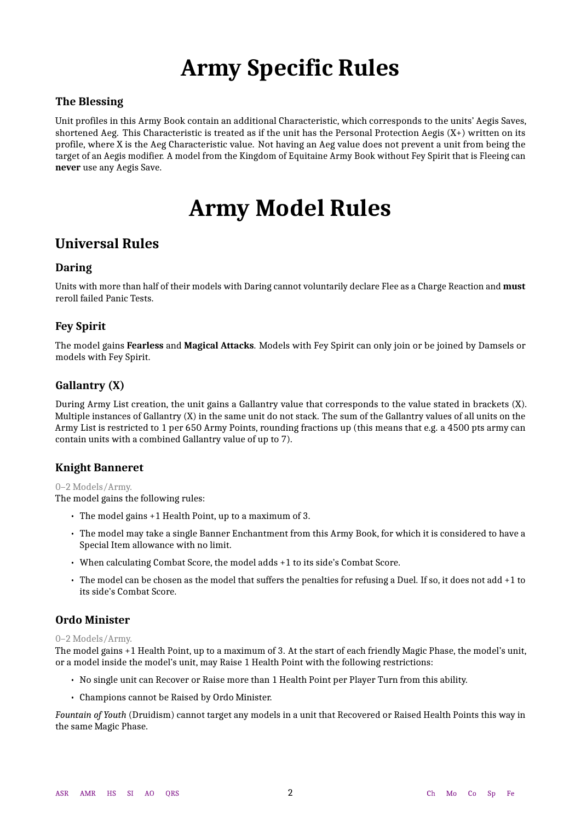## **Army Specific Rules**

### <span id="page-1-0"></span>**The Blessing**

<span id="page-1-1"></span>Unit profiles in this Army Book contain an additional Characteristic, which corresponds to the units' Aegis Saves, shortened Aeg. This Characteristic is treated as if the unit has the Personal Protection Aegis (X+) written on its profile, where X is the Aeg Characteristic value. Not having an Aeg value does not prevent a unit from being the target of an Aegis modifier. A model from the Kingdom of Equitaine Army Book without Fey Spirit that is Fleeing can **never** use any Aegis Save.

## **Army Model Rules**

## <span id="page-1-2"></span>**Universal Rules**

### **Daring**

Units with more than half of their models with Daring cannot voluntarily declare Flee as a Charge Reaction and **must** reroll failed Panic Tests.

### **Fey Spirit**

The model gains **Fearless** and **Magical Attacks**. Models with Fey Spirit can only join or be joined by Damsels or models with Fey Spirit.

### **Gallantry (X)**

During Army List creation, the unit gains a Gallantry value that corresponds to the value stated in brackets (X). Multiple instances of Gallantry (X) in the same unit do not stack. The sum of the Gallantry values of all units on the Army List is restricted to 1 per 650 Army Points, rounding fractions up (this means that e.g. a 4500 pts army can contain units with a combined Gallantry value of up to 7).

### **Knight Banneret**

#### 0–2 Models/Army.

The model gains the following rules:

- The model gains +1 Health Point, up to a maximum of 3.
- The model may take a single Banner Enchantment from this Army Book, for which it is considered to have a Special Item allowance with no limit.
- When calculating Combat Score, the model adds +1 to its side's Combat Score.
- The model can be chosen as the model that suffers the penalties for refusing a Duel. If so, it does not add +1 to its side's Combat Score.

### **Ordo Minister**

#### 0–2 Models/Army.

The model gains +1 Health Point, up to a maximum of 3. At the start of each friendly Magic Phase, the model's unit, or a model inside the model's unit, may Raise 1 Health Point with the following restrictions:

- No single unit can Recover or Raise more than 1 Health Point per Player Turn from this ability.
- Champions cannot be Raised by Ordo Minister.

*Fountain of Youth* (Druidism) cannot target any models in a unit that Recovered or Raised Health Points this way in the same Magic Phase.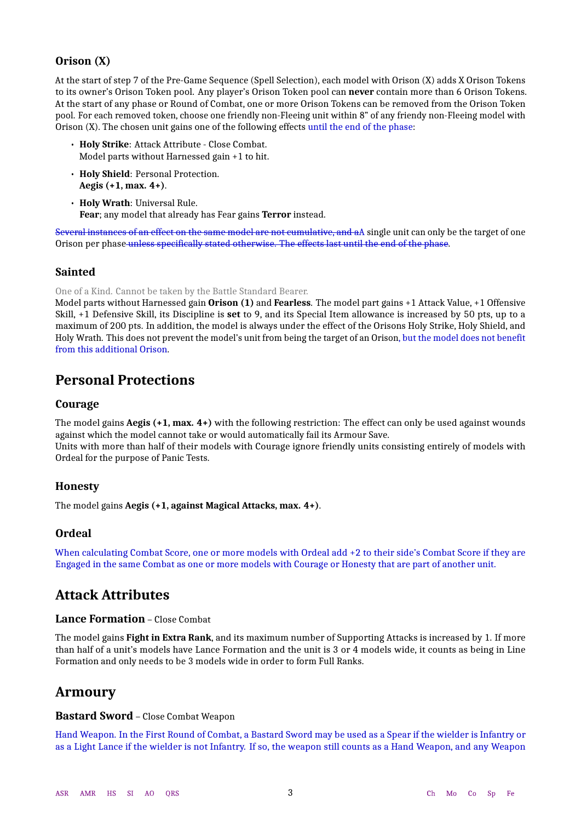### **Orison (X)**

At the start of step 7 of the Pre-Game Sequence (Spell Selection), each model with Orison (X) adds X Orison Tokens to its owner's Orison Token pool. Any player's Orison Token pool can **never** contain more than 6 Orison Tokens. At the start of any phase or Round of Combat, one or more Orison Tokens can be removed from the Orison Token pool. For each removed token, choose one friendly non-Fleeing unit within 8" of any friendy non-Fleeing model with Orison (X). The chosen unit gains one of the following effects until the end of the phase:

- **Holy Strike**: Attack Attribute Close Combat. Model parts without Harnessed gain +1 to hit.
- **Holy Shield**: Personal Protection. **Aegis (+1, max. 4+)**.
- **Holy Wrath**: Universal Rule. **Fear**; any model that already has Fear gains **Terror** instead.

Several instances of an effect on the same model are not cumulative, and aA single unit can only be the target of one Orison per phase unless specifically stated otherwise. The effects last until the end of the phase.

### **Sainted**

One of a Kind. Cannot be taken by the Battle Standard Bearer.

Model parts without Harnessed gain **Orison (1)** and **Fearless**. The model part gains +1 Attack Value, +1 Offensive Skill, +1 Defensive Skill, its Discipline is **set** to 9, and its Special Item allowance is increased by 50 pts, up to a maximum of 200 pts. In addition, the model is always under the effect of the Orisons Holy Strike, Holy Shield, and Holy Wrath. This does not prevent the model's unit from being the target of an Orison, but the model does not benefit from this additional Orison.

## **Personal Protections**

#### **Courage**

The model gains **Aegis (+1, max. 4+)** with the following restriction: The effect can only be used against wounds against which the model cannot take or would automatically fail its Armour Save. Units with more than half of their models with Courage ignore friendly units consisting entirely of models with Ordeal for the purpose of Panic Tests.

### **Honesty**

The model gains **Aegis (+1, against Magical Attacks, max. 4+)**.

### **Ordeal**

When calculating Combat Score, one or more models with Ordeal add +2 to their side's Combat Score if they are Engaged in the same Combat as one or more models with Courage or Honesty that are part of another unit.

## **Attack Attributes**

### **Lance Formation** – Close Combat

The model gains **Fight in Extra Rank**, and its maximum number of Supporting Attacks is increased by 1. If more than half of a unit's models have Lance Formation and the unit is 3 or 4 models wide, it counts as being in Line Formation and only needs to be 3 models wide in order to form Full Ranks.

## **Armoury**

#### **Bastard Sword** – Close Combat Weapon

Hand Weapon. In the First Round of Combat, a Bastard Sword may be used as a Spear if the wielder is Infantry or as a Light Lance if the wielder is not Infantry. If so, the weapon still counts as a Hand Weapon, and any Weapon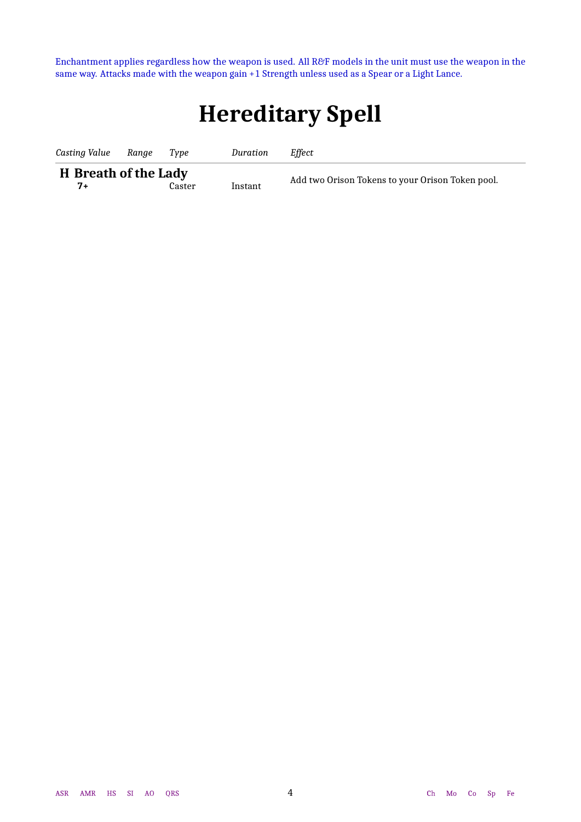<span id="page-3-1"></span><span id="page-3-0"></span>Enchantment applies regardless how the weapon is used. All R&F models in the unit must use the weapon in the same way. Attacks made with the weapon gain +1 Strength unless used as a Spear or a Light Lance.

## **Hereditary Spell**

| Casting Value                       | Ranae | Tvpe   | Duration | Effect                                           |
|-------------------------------------|-------|--------|----------|--------------------------------------------------|
| <b>H</b> Breath of the Lady<br>$7+$ |       | Caster | Instant  | Add two Orison Tokens to your Orison Token pool. |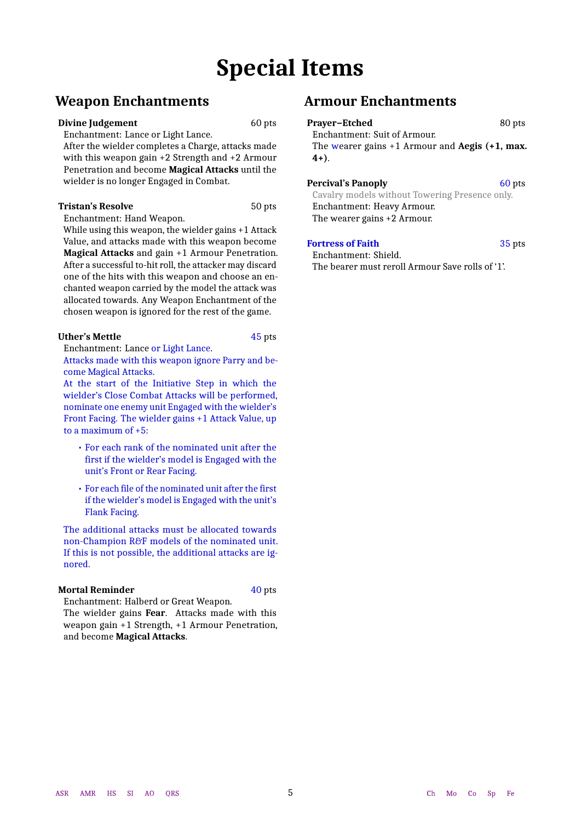## **Special Items**

## <span id="page-4-0"></span>**Weapon Enchantments**

#### **Divine Judgement** 60 pts

Enchantment: Lance or Light Lance.

After the wielder completes a Charge, attacks made with this weapon gain +2 Strength and +2 Armour Penetration and become **Magical Attacks** until the wielder is no longer Engaged in Combat.

#### **Tristan's Resolve** 50 pts

Enchantment: Hand Weapon.

While using this weapon, the wielder gains +1 Attack Value, and attacks made with this weapon become **Magical Attacks** and gain +1 Armour Penetration. After a successful to-hit roll, the attacker may discard one of the hits with this weapon and choose an enchanted weapon carried by the model the attack was allocated towards. Any Weapon Enchantment of the chosen weapon is ignored for the rest of the game.

#### **Uther's Mettle** 45 pts

Enchantment: Lance or Light Lance.

Attacks made with this weapon ignore Parry and become Magical Attacks.

At the start of the Initiative Step in which the wielder's Close Combat Attacks will be performed, nominate one enemy unit Engaged with the wielder's Front Facing. The wielder gains +1 Attack Value, up to a maximum of +5:

- For each rank of the nominated unit after the first if the wielder's model is Engaged with the unit's Front or Rear Facing.
- For each file of the nominated unit after the first if the wielder's model is Engaged with the unit's Flank Facing.

The additional attacks must be allocated towards non-Champion R&F models of the nominated unit. If this is not possible, the additional attacks are ignored.

#### **Mortal Reminder** 40 pts

Enchantment: Halberd or Great Weapon.

The wielder gains **Fear**. Attacks made with this weapon gain +1 Strength, +1 Armour Penetration, and become **Magical Attacks**.

## **Armour Enchantments**

## Prayer−Etched 80 pts

Enchantment: Suit of Armour. The wearer gains +1 Armour and **Aegis (+1, max. 4+)**.

#### **Percival's Panoply** 60 pts

Cavalry models without Towering Presence only. Enchantment: Heavy Armour. The wearer gains +2 Armour.

#### **Fortress of Faith** 35 pts

Enchantment: Shield. The bearer must reroll Armour Save rolls of '1'.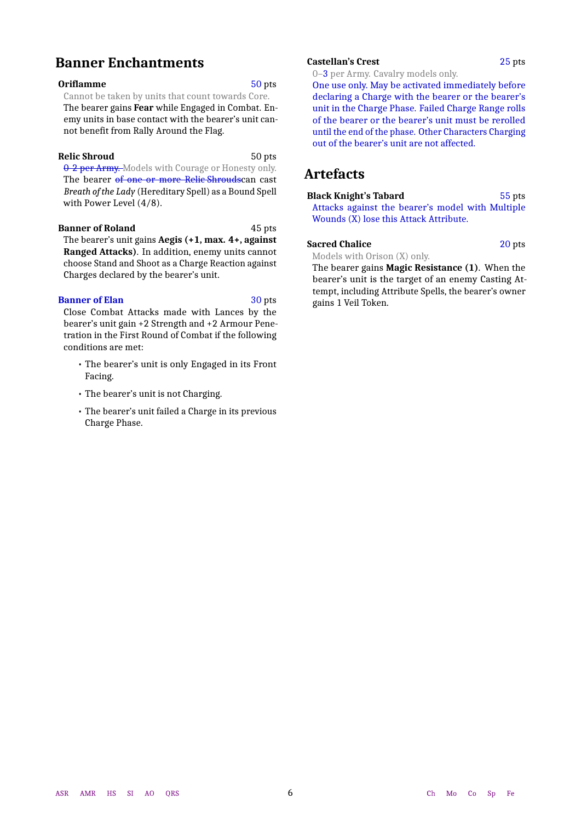## **Banner Enchantments**

#### **Oriflamme** 50 pts

Cannot be taken by units that count towards Core. The bearer gains **Fear** while Engaged in Combat. Enemy units in base contact with the bearer's unit cannot benefit from Rally Around the Flag.

#### **Relic Shroud** 50 pts

0-2 per Army. Models with Courage or Honesty only. The bearer of one or more Relic Shroudscan cast *Breath of the Lady* (Hereditary Spell) as a Bound Spell with Power Level (4/8).

**Banner of Roland** 45 pts

The bearer's unit gains **Aegis (+1, max. 4+, against Ranged Attacks)**. In addition, enemy units cannot choose Stand and Shoot as a Charge Reaction against Charges declared by the bearer's unit.

#### **Banner of Elan** 30 pts

Close Combat Attacks made with Lances by the bearer's unit gain +2 Strength and +2 Armour Penetration in the First Round of Combat if the following conditions are met:

- The bearer's unit is only Engaged in its Front Facing.
- The bearer's unit is not Charging.
- The bearer's unit failed a Charge in its previous Charge Phase.

#### **Castellan's Crest** 25 pts

0–3 per Army. Cavalry models only.

One use only. May be activated immediately before declaring a Charge with the bearer or the bearer's unit in the Charge Phase. Failed Charge Range rolls of the bearer or the bearer's unit must be rerolled until the end of the phase. Other Characters Charging out of the bearer's unit are not affected.

## **Artefacts**

**Black Knight's Tabard** 55 pts Attacks against the bearer's model with Multiple Wounds (X) lose this Attack Attribute.

#### **Sacred Chalice** 20 pts

Models with Orison (X) only.

The bearer gains **Magic Resistance (1)**. When the bearer's unit is the target of an enemy Casting Attempt, including Attribute Spells, the bearer's owner gains 1 Veil Token.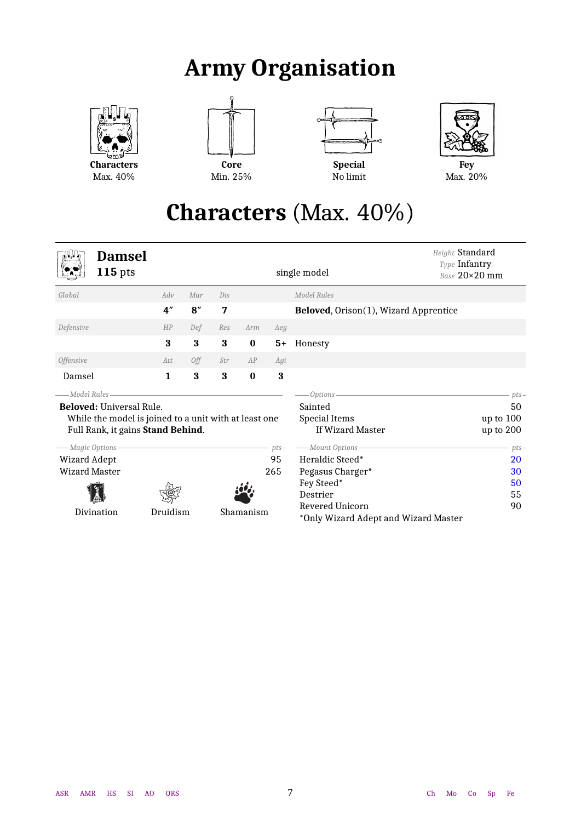## **Army Organisation**

<span id="page-6-0"></span>

**Characters** Max. 40%







**Fey** Max. 20%

## **Characters** (Max. 40%)

<span id="page-6-2"></span><span id="page-6-1"></span>

| <b>Damsel</b><br>$115$ pts                                                                                                                                                                  |          |                         |                |           |                     | Height Standard<br>Type Infantry<br>single model                                                                                          | Base 20×20 mm                                                        |
|---------------------------------------------------------------------------------------------------------------------------------------------------------------------------------------------|----------|-------------------------|----------------|-----------|---------------------|-------------------------------------------------------------------------------------------------------------------------------------------|----------------------------------------------------------------------|
| Global                                                                                                                                                                                      | Adv      | Mar                     | Dis            |           |                     | Model Rules                                                                                                                               |                                                                      |
|                                                                                                                                                                                             | 4"       | 8''                     | $\overline{7}$ |           |                     | Beloved, Orison(1), Wizard Apprentice                                                                                                     |                                                                      |
| Defensive                                                                                                                                                                                   | HP       | Def                     | Res            | Arm       | Aeg                 |                                                                                                                                           |                                                                      |
|                                                                                                                                                                                             | 3        | 3                       | 3              | $\bf{0}$  | $5+$                | Honesty                                                                                                                                   |                                                                      |
| <b>Offensive</b>                                                                                                                                                                            | Att.     | Off                     | Str            | AP        | Agi                 |                                                                                                                                           |                                                                      |
| Damsel                                                                                                                                                                                      | 1        | $\overline{\mathbf{3}}$ | 3              | $\bf{0}$  | 3                   |                                                                                                                                           |                                                                      |
| <b>Beloved:</b> Universal Rule.<br>While the model is joined to a unit with at least one<br>Full Rank, it gains Stand Behind.<br>--- Magic Options-<br>Wizard Adept<br><b>Wizard Master</b> |          |                         |                |           | $pts-$<br>95<br>265 | Options-<br>Sainted<br><b>Special Items</b><br>If Wizard Master<br>- Mount Options -<br>Heraldic Steed*<br>Pegasus Charger*<br>Fey Steed* | $pts-$<br>50<br>up to $100$<br>up to 200<br>$pts-$<br>20<br>30<br>50 |
| Divination                                                                                                                                                                                  | Druidism |                         |                | Shamanism |                     | Destrier<br>Revered Unicorn<br>*Only Wizard Adept and Wizard Master                                                                       | 55<br>90                                                             |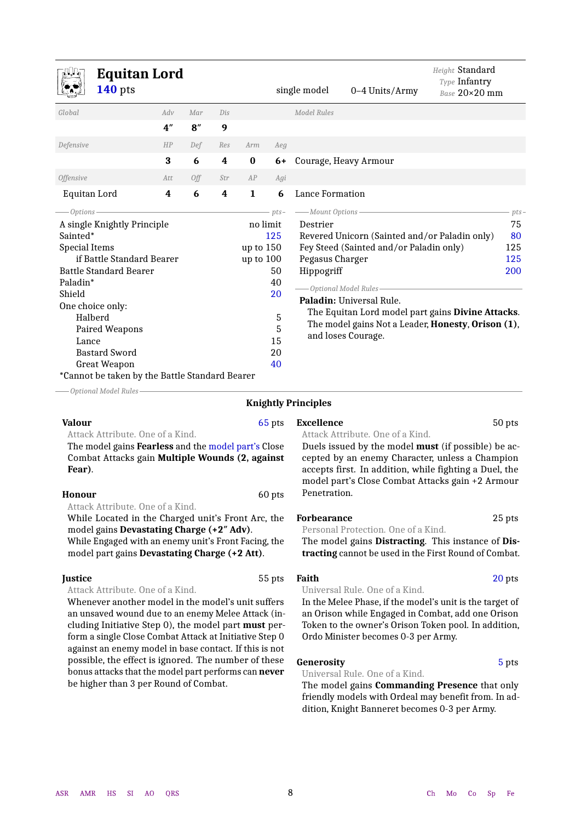<span id="page-7-0"></span>

| <b>Equitan Lord</b><br>$140$ pts                                                                                                                                                                                                                                                                                               |                  |     |     |                                        |                                                             | single model                                                   | 0-4 Units/Army                                                                                                                                                                                                                                                                 | Height Standard<br>Type Infantry<br>Base 20×20 mm |                                       |
|--------------------------------------------------------------------------------------------------------------------------------------------------------------------------------------------------------------------------------------------------------------------------------------------------------------------------------|------------------|-----|-----|----------------------------------------|-------------------------------------------------------------|----------------------------------------------------------------|--------------------------------------------------------------------------------------------------------------------------------------------------------------------------------------------------------------------------------------------------------------------------------|---------------------------------------------------|---------------------------------------|
| Global                                                                                                                                                                                                                                                                                                                         | Adv              | Mar | Dis |                                        |                                                             | <b>Model Rules</b>                                             |                                                                                                                                                                                                                                                                                |                                                   |                                       |
|                                                                                                                                                                                                                                                                                                                                | 4 <sup>''</sup>  | 8'' | 9   |                                        |                                                             |                                                                |                                                                                                                                                                                                                                                                                |                                                   |                                       |
| Defensive                                                                                                                                                                                                                                                                                                                      | HP               | Def | Res | Arm                                    | Aeg                                                         |                                                                |                                                                                                                                                                                                                                                                                |                                                   |                                       |
|                                                                                                                                                                                                                                                                                                                                | 3                | 6   | 4   | $\bf{0}$                               | 6+                                                          |                                                                | Courage, Heavy Armour                                                                                                                                                                                                                                                          |                                                   |                                       |
| <b>Offensive</b>                                                                                                                                                                                                                                                                                                               | Att              | Off | Str | AP                                     | Agi                                                         |                                                                |                                                                                                                                                                                                                                                                                |                                                   |                                       |
| Equitan Lord                                                                                                                                                                                                                                                                                                                   | $\boldsymbol{4}$ | 6   | 4   | $\mathbf{1}$                           | 6                                                           | Lance Formation                                                |                                                                                                                                                                                                                                                                                |                                                   |                                       |
| $-$ Options-<br>A single Knightly Principle<br>Sainted*<br><b>Special Items</b><br>if Battle Standard Bearer<br><b>Battle Standard Bearer</b><br>Paladin*<br>Shield<br>One choice only:<br>Halberd<br>Paired Weapons<br>Lance<br><b>Bastard Sword</b><br><b>Great Weapon</b><br>*Cannot be taken by the Battle Standard Bearer |                  |     |     | no limit<br>up to $150$<br>up to $100$ | $pts-$<br>125<br>50<br>40<br>20<br>5<br>5<br>15<br>20<br>40 | - Mount Options -<br>Destrier<br>Pegasus Charger<br>Hippogriff | Revered Unicorn (Sainted and/or Paladin only)<br>Fey Steed (Sainted and/or Paladin only)<br>Optional Model Rules-<br>Paladin: Universal Rule.<br>The Equitan Lord model part gains Divine Attacks.<br>The model gains Not a Leader, Honesty, Orison (1),<br>and loses Courage. |                                                   | pts-<br>75<br>80<br>125<br>125<br>200 |

*Optional Model Rules*

#### **Knightly Principles**

**Valour** 65 pts Attack Attribute. One of a Kind.

The model gains **Fearless** and the model part's Close Combat Attacks gain **Multiple Wounds (2, against Fear)**.

#### **Honour** 60 pts

Attack Attribute. One of a Kind.

While Located in the Charged unit's Front Arc, the model gains **Devastating Charge (+2″ Adv)**.

While Engaged with an enemy unit's Front Facing, the model part gains **Devastating Charge (+2 Att)**.

#### **Iustice** 55 pts

Attack Attribute. One of a Kind.

Whenever another model in the model's unit suffers an unsaved wound due to an enemy Melee Attack (including Initiative Step 0), the model part **must** perform a single Close Combat Attack at Initiative Step 0 against an enemy model in base contact. If this is not possible, the effect is ignored. The number of these bonus attacks that the model part performs can **never** be higher than 3 per Round of Combat.

**Excellence** 50 pts

Attack Attribute. One of a Kind.

Duels issued by the model **must** (if possible) be accepted by an enemy Character, unless a Champion accepts first. In addition, while fighting a Duel, the model part's Close Combat Attacks gain +2 Armour Penetration.

#### **Forbearance** 25 pts

Personal Protection. One of a Kind.

The model gains **Distracting**. This instance of **Distracting** cannot be used in the First Round of Combat.

## **Faith** 20 pts

Universal Rule. One of a Kind.

In the Melee Phase, if the model's unit is the target of an Orison while Engaged in Combat, add one Orison Token to the owner's Orison Token pool. In addition, Ordo Minister becomes 0-3 per Army.

#### **Generosity** 5 pts

Universal Rule. One of a Kind.

The model gains **Commanding Presence** that only friendly models with Ordeal may benefit from. In addition, Knight Banneret becomes 0-3 per Army.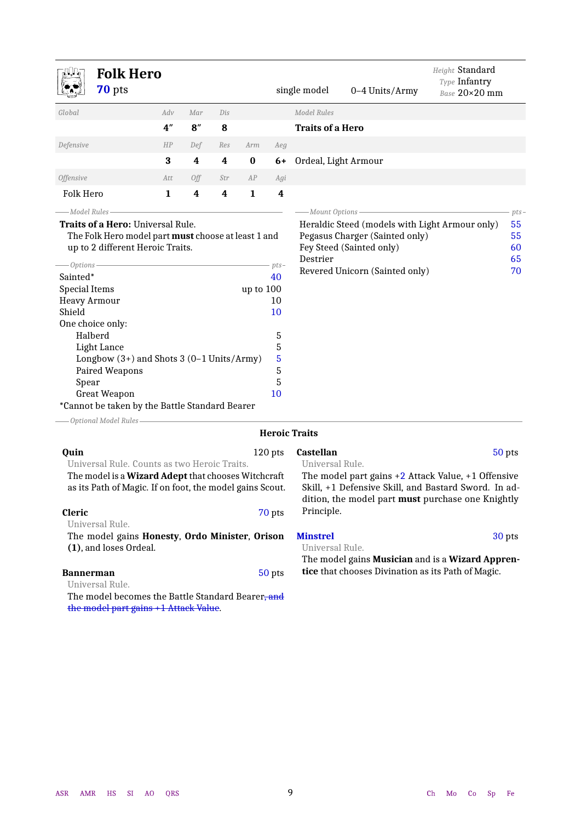<span id="page-8-1"></span>

|                                                                                                        | <b>Folk Hero</b><br>70 pts                                                                                                                                                                                                                                                                                                                      |                 |     |     |           |                                                         | single model                                      | 0-4 Units/Army                                                                                                                                                      | Height Standard<br>Type Infantry<br>Base 20×20 mm |                                       |
|--------------------------------------------------------------------------------------------------------|-------------------------------------------------------------------------------------------------------------------------------------------------------------------------------------------------------------------------------------------------------------------------------------------------------------------------------------------------|-----------------|-----|-----|-----------|---------------------------------------------------------|---------------------------------------------------|---------------------------------------------------------------------------------------------------------------------------------------------------------------------|---------------------------------------------------|---------------------------------------|
| Global                                                                                                 |                                                                                                                                                                                                                                                                                                                                                 | Adv             | Mar | Dis |           |                                                         | <b>Model Rules</b>                                |                                                                                                                                                                     |                                                   |                                       |
|                                                                                                        |                                                                                                                                                                                                                                                                                                                                                 | 4 <sup>''</sup> | 8'' | 8   |           |                                                         | <b>Traits of a Hero</b>                           |                                                                                                                                                                     |                                                   |                                       |
| Defensive                                                                                              |                                                                                                                                                                                                                                                                                                                                                 | HP              | Def | Res | Arm       | Ae.g                                                    |                                                   |                                                                                                                                                                     |                                                   |                                       |
|                                                                                                        |                                                                                                                                                                                                                                                                                                                                                 | 3               | 4   | 4   | $\bf{0}$  | 6+                                                      | Ordeal, Light Armour                              |                                                                                                                                                                     |                                                   |                                       |
| <b>Offensive</b>                                                                                       |                                                                                                                                                                                                                                                                                                                                                 | Att             |     | Str | AP        | Agi                                                     |                                                   |                                                                                                                                                                     |                                                   |                                       |
|                                                                                                        |                                                                                                                                                                                                                                                                                                                                                 |                 | Off | 4   | 1         | 4                                                       |                                                   |                                                                                                                                                                     |                                                   |                                       |
| Folk Hero                                                                                              |                                                                                                                                                                                                                                                                                                                                                 | 1               | 4   |     |           |                                                         |                                                   |                                                                                                                                                                     |                                                   |                                       |
| -Model Rules<br>-Options<br>Sainted*<br><b>Special Items</b><br><b>Heavy Armour</b><br>Shield<br>Spear | Traits of a Hero: Universal Rule.<br>The Folk Hero model part must choose at least 1 and<br>up to 2 different Heroic Traits.<br>One choice only:<br>Halberd<br>Light Lance<br>Longbow $(3+)$ and Shots 3 $(0-1$ Units/Army)<br>Paired Weapons<br><b>Great Weapon</b><br>*Cannot be taken by the Battle Standard Bearer<br>Optional Model Rules- |                 |     |     | up to 100 | $pts-$<br>40<br>10<br>10<br>5<br>5<br>5<br>5<br>5<br>10 | -Mount Options -<br>Destrier                      | Heraldic Steed (models with Light Armour only)<br>Pegasus Charger (Sainted only)<br>Fey Steed (Sainted only)<br>Revered Unicorn (Sainted only)                      |                                                   | $pts -$<br>55<br>55<br>60<br>65<br>70 |
|                                                                                                        |                                                                                                                                                                                                                                                                                                                                                 |                 |     |     |           |                                                         | <b>Heroic Traits</b>                              |                                                                                                                                                                     |                                                   |                                       |
| Quin<br><b>Cleric</b>                                                                                  | Universal Rule. Counts as two Heroic Traits.<br>The model is a Wizard Adept that chooses Witchcraft<br>as its Path of Magic. If on foot, the model gains Scout.                                                                                                                                                                                 |                 |     |     |           | 120 pts<br>70 pts                                       | <b>Castellan</b><br>Universal Rule.<br>Principle. | The model part gains $+2$ Attack Value, $+1$ Offensive<br>Skill, +1 Defensive Skill, and Bastard Sword. In ad-<br>dition, the model part must purchase one Knightly |                                                   | 50 pts                                |
|                                                                                                        | Universal Rule.<br>The model gains Honesty, Ordo Minister, Orison<br>(1), and loses Ordeal.                                                                                                                                                                                                                                                     |                 |     |     |           |                                                         | <b>Minstrel</b><br>Universal Rule.                |                                                                                                                                                                     |                                                   | 30 pts                                |

**Bannerman** 50 pts

Universal Rule.

The model becomes the Battle Standard Bearer, and the model part gains +1 Attack Value.

<span id="page-8-0"></span>The model gains **Musician** and is a **Wizard Apprentice** that chooses Divination as its Path of Magic.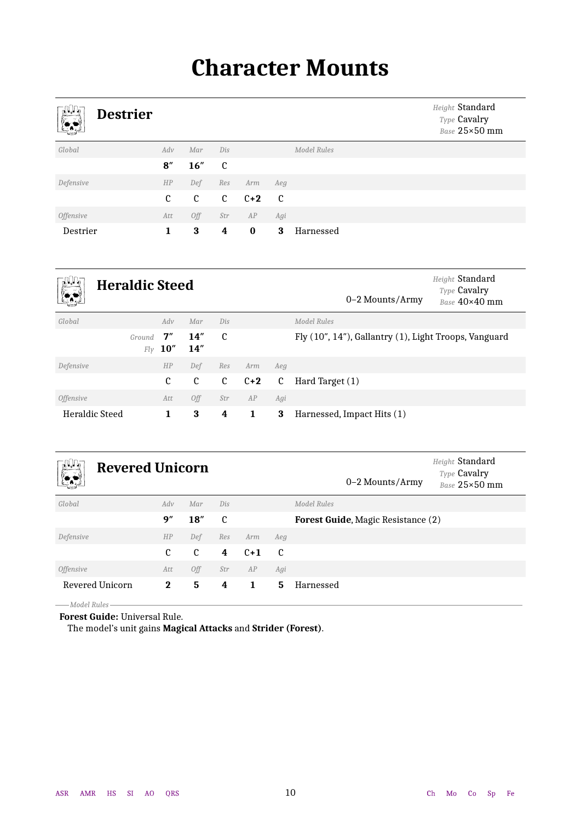## **Character Mounts**

<span id="page-9-1"></span><span id="page-9-0"></span>

| <b>ND</b><br><b>Destrier</b> |     |               |                |          |     |             | Height Standard<br>Type Cavalry<br>Base 25×50 mm |
|------------------------------|-----|---------------|----------------|----------|-----|-------------|--------------------------------------------------|
| Global                       | Adv | Mar           | Dis            |          |     | Model Rules |                                                  |
|                              | 8'' | 16''          | C              |          |     |             |                                                  |
| Defensive                    | HP  | Def           | Res            | Arm      | Aeg |             |                                                  |
|                              | C   | $\mathfrak c$ | $\mathfrak{c}$ | $C+2$    | C   |             |                                                  |
| <i><b>Offensive</b></i>      | Att | Off           | Str            | AP       | Agi |             |                                                  |
| Destrier                     | 1   | 3             | 4              | $\bf{0}$ | 3   | Harnessed   |                                                  |

<span id="page-9-2"></span>

| −∏UJN,<br><b>Between</b><br>المحادث<br><u>(* 1</u> | <b>Heraldic Steed</b> |             |            |     |       | 0-2 Mounts/Army | Height Standard<br>Type Cavalry<br>Base 40×40 mm      |  |
|----------------------------------------------------|-----------------------|-------------|------------|-----|-------|-----------------|-------------------------------------------------------|--|
| Global                                             |                       | Adv         | Mar        | Dis |       |                 | Model Rules                                           |  |
|                                                    | Ground<br>Flv         | 7''<br>10'' | 14"<br>14" | C   |       |                 | Fly (10", 14"), Gallantry (1), Light Troops, Vanguard |  |
| Defensive                                          |                       | HP          | Def        | Res | Arm   | Aeg             |                                                       |  |
|                                                    |                       | C           | C          | C   | $C+2$ | C               | Hard Target (1)                                       |  |
| <i><b>Offensive</b></i>                            |                       | Att         | Off        | Str | AP    | Agi             |                                                       |  |
| <b>Heraldic Steed</b>                              |                       | 1           | 3          | 4   | 1     | 3               | Harnessed, Impact Hits (1)                            |  |

<span id="page-9-3"></span>

| , N, Π,<br>$\mathbb{R}$ | <b>Revered Unicorn</b> |      |     |       |     | 0–2 Mounts/Army                           | Height Standard<br>Type Cavalry<br>Base 25×50 mm |
|-------------------------|------------------------|------|-----|-------|-----|-------------------------------------------|--------------------------------------------------|
| Global                  | Adv                    | Mar  | Dis |       |     | Model Rules                               |                                                  |
|                         | 9''                    | 18'' | C   |       |     | <b>Forest Guide, Magic Resistance (2)</b> |                                                  |
| Defensive               | HP                     | Def  | Res | Arm   | Aeg |                                           |                                                  |
|                         | C                      | C    | 4   | $C+1$ | C   |                                           |                                                  |
| <i><b>Offensive</b></i> | Att                    | Off  | Str | AP    | Agi |                                           |                                                  |
| Revered Unicorn         | $\bf{2}$               | 5    | 4   | 1.    | 5.  | Harnessed                                 |                                                  |

*Model Rules*

**Forest Guide:** Universal Rule.

The model's unit gains **Magical Attacks** and **Strider (Forest)**.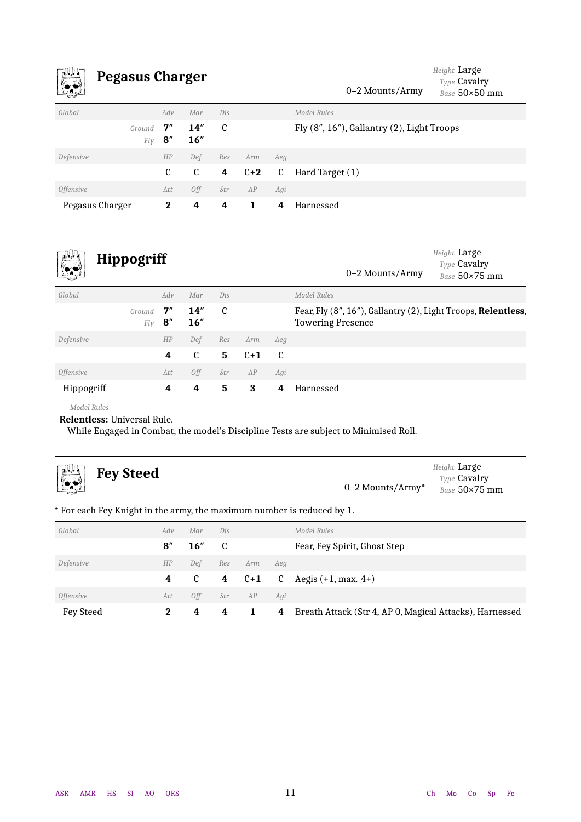<span id="page-10-1"></span>

| −nn−<br><u>(* 19</u>    | Pegasus Charger |             |              |     |       |     | 0–2 Mounts/Army                                  | Height Large<br>Type Cavalry<br>Base 50×50 mm |
|-------------------------|-----------------|-------------|--------------|-----|-------|-----|--------------------------------------------------|-----------------------------------------------|
| Global                  |                 | Adv         | Mar          | Dis |       |     | Model Rules                                      |                                               |
|                         | Ground<br>Fly   | 7''<br>8''  | 14''<br>16'' | C   |       |     | Fly $(8", 16")$ , Gallantry $(2)$ , Light Troops |                                               |
| Defensive               |                 | HP          | Def          | Res | Arm   | Aeg |                                                  |                                               |
|                         |                 | C           | C            | 4   | $C+2$ | C   | Hard Target (1)                                  |                                               |
| <i><b>Offensive</b></i> |                 | Att         | Off          | Str | AP    | Agi |                                                  |                                               |
| Pegasus Charger         |                 | $\mathbf 2$ | 4            | 4   | 1.    | 4   | Harnessed                                        |                                               |

<span id="page-10-2"></span>

| $\mathbb{R}^n$<br>▓∙    | <b>Hippogriff</b> |                       |             |     |       | 0–2 Mounts/Army | Height Large<br>Type Cavalry<br>Base 50×75 mm                                             |  |
|-------------------------|-------------------|-----------------------|-------------|-----|-------|-----------------|-------------------------------------------------------------------------------------------|--|
| Global                  |                   | Adv                   | Mar         | Dis |       |                 | Model Rules                                                                               |  |
|                         | Ground<br>Fly     | 7''<br>$\mathbf{8}''$ | 14''<br>16" | C   |       |                 | Fear, Fly (8", 16"), Gallantry (2), Light Troops, Relentless,<br><b>Towering Presence</b> |  |
| Defensive               |                   | HP                    | Def         | Res | Arm   | Aeg             |                                                                                           |  |
|                         |                   | 4                     | C           | 5   | $C+1$ | C               |                                                                                           |  |
| <i><b>Offensive</b></i> |                   | Att                   | Off         | Str | AP    | Agi             |                                                                                           |  |
| Hippogriff              |                   | 4                     | 4           | 5   | 3     | 4               | Harnessed                                                                                 |  |

*Model Rules*

**Relentless:** Universal Rule.

<span id="page-10-0"></span>While Engaged in Combat, the model's Discipline Tests are subject to Minimised Roll.

<span id="page-10-3"></span>

| гД)n,<br><b>Fey Steed</b><br><u>logy</u>                               |          |               |              |       |     | $0-2$ Mounts/Army*                                      | Height Large<br>Type Cavalry<br>Base 50×75 mm |
|------------------------------------------------------------------------|----------|---------------|--------------|-------|-----|---------------------------------------------------------|-----------------------------------------------|
| * For each Fey Knight in the army, the maximum number is reduced by 1. |          |               |              |       |     |                                                         |                                               |
| Global                                                                 | Adv      | Mar           | Dis          |       |     | Model Rules                                             |                                               |
|                                                                        | 8''      | 16''          | $\mathbf{c}$ |       |     | Fear, Fey Spirit, Ghost Step                            |                                               |
| Defensive                                                              | HP       | Def           | Res          | Arm   | Aeg |                                                         |                                               |
|                                                                        | 4        | $\mathfrak c$ | 4            | $C+1$ | C   | Aegis $(+1, \text{max. } 4+)$                           |                                               |
| <i><b>Offensive</b></i>                                                | Att      | 0ff           | Str          | AP    | Agi |                                                         |                                               |
| <b>Fey Steed</b>                                                       | $\bf{2}$ | 4             | 4            |       | 4   | Breath Attack (Str 4, AP 0, Magical Attacks), Harnessed |                                               |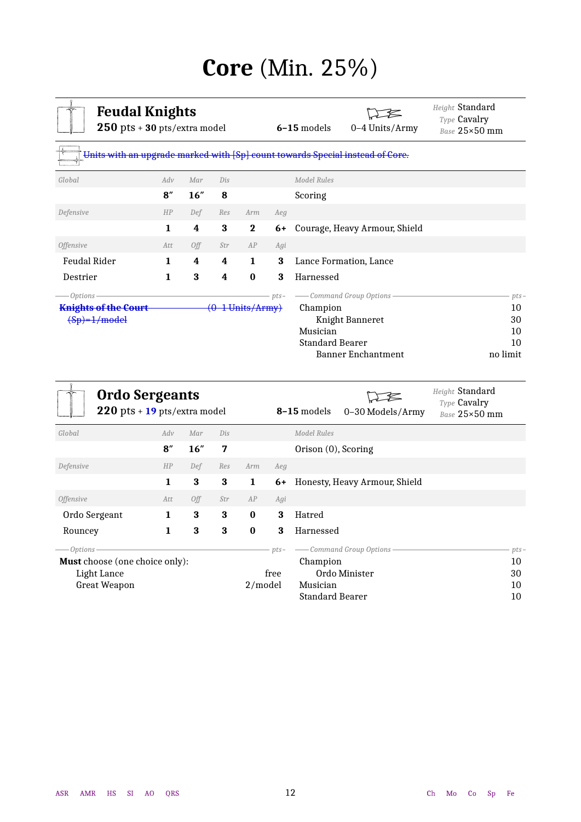## **Core** (Min. 25%)

<span id="page-11-1"></span><span id="page-11-0"></span>

| <b>Feudal Knights</b><br>$250$ pts + 30 pts/extra model                       |              |     |     |                    |        | $6 - 15$ models         | 0-4 Units/Army                | Height Standard<br>Type Cavalry<br>Base 25×50 mm |
|-------------------------------------------------------------------------------|--------------|-----|-----|--------------------|--------|-------------------------|-------------------------------|--------------------------------------------------|
| Units with an upgrade marked with [Sp] count towards Special instead of Core. |              |     |     |                    |        |                         |                               |                                                  |
| Global                                                                        | Adv          | Mar | Dis |                    |        | Model Rules             |                               |                                                  |
|                                                                               | 8''          | 16" | 8   |                    |        | Scoring                 |                               |                                                  |
| Defensive                                                                     | HP           | Def | Res | Arm                | Aeg    |                         |                               |                                                  |
|                                                                               | $\mathbf{1}$ | 4   | 3   | $\mathbf{2}$       | 6+     |                         | Courage, Heavy Armour, Shield |                                                  |
| <i><b>Offensive</b></i>                                                       | Att          | Off | Str | AP                 | Agi    |                         |                               |                                                  |
| <b>Feudal Rider</b>                                                           | 1            | 4   | 4   | $\mathbf{1}$       | 3      | Lance Formation, Lance  |                               |                                                  |
| Destrier                                                                      | 1            | 3   | 4   | $\bf{0}$           | 3      | Harnessed               |                               |                                                  |
| Options                                                                       |              |     |     |                    | $pts-$ | - Command Group Options |                               | $pts-$                                           |
| <b>Knights of the Court</b>                                                   |              |     |     | $(0-1$ Units/Army) |        | Champion                |                               | 10                                               |
| $(Sp)=1/model$                                                                |              |     |     |                    |        |                         | Knight Banneret               | 30                                               |
|                                                                               |              |     |     |                    |        | Musician                |                               | 10                                               |
|                                                                               |              |     |     |                    |        | Standard Bearer         |                               | 10                                               |
|                                                                               |              |     |     |                    |        |                         | <b>Banner Enchantment</b>     | no limit                                         |

<span id="page-11-2"></span>

| <b>Ordo Sergeants</b><br>$220$ pts + 19 pts/extra model |     |     |     |          |        | 8-15 models            | 0-30 Models/Army              | Height Standard<br>Type Cavalry<br>Base 25×50 mm |        |
|---------------------------------------------------------|-----|-----|-----|----------|--------|------------------------|-------------------------------|--------------------------------------------------|--------|
| Global                                                  | Adv | Mar | Dis |          |        | Model Rules            |                               |                                                  |        |
|                                                         | 8'' | 16" | 7   |          |        | Orison (0), Scoring    |                               |                                                  |        |
| Defensive                                               | HP  | Def | Res | Arm      | Aeg    |                        |                               |                                                  |        |
|                                                         | 1   | 3   | 3   | 1        | 6+     |                        | Honesty, Heavy Armour, Shield |                                                  |        |
| <i><b>Offensive</b></i>                                 | Att | Off | Str | AP       | Agi    |                        |                               |                                                  |        |
| Ordo Sergeant                                           | 1   | 3   | 3   | $\bf{0}$ | 3      | Hatred                 |                               |                                                  |        |
| Rouncey                                                 | 1   | 3   | 3   | $\bf{0}$ | 3      | Harnessed              |                               |                                                  |        |
| -Options -                                              |     |     |     |          | $pts-$ |                        | - Command Group Options -     |                                                  | $pts-$ |
| <b>Must</b> choose (one choice only):                   |     |     |     |          |        | Champion               |                               | 10                                               |        |
| Light Lance                                             |     |     |     |          | free   |                        | Ordo Minister                 | 30                                               |        |
| <b>Great Weapon</b>                                     |     |     |     | 2/model  |        | Musician               |                               | 10                                               |        |
|                                                         |     |     |     |          |        | <b>Standard Bearer</b> |                               | 10                                               |        |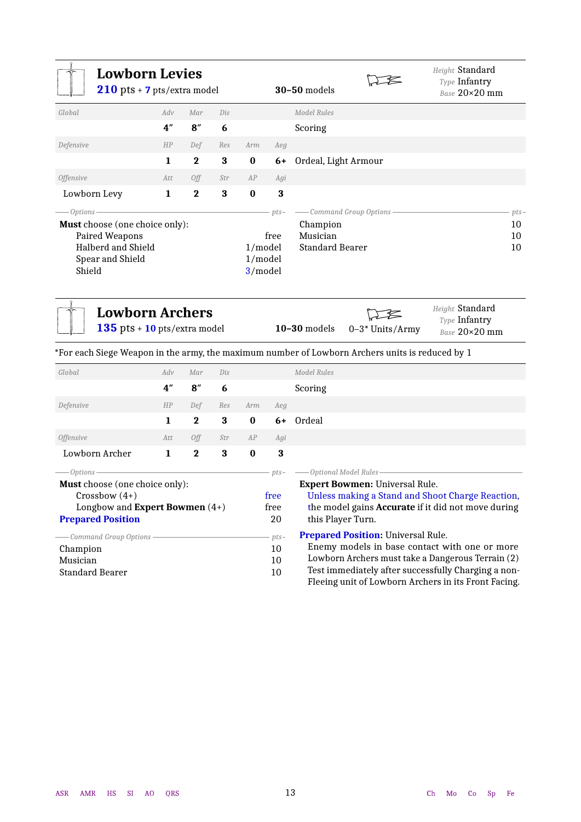<span id="page-12-2"></span><span id="page-12-1"></span><span id="page-12-0"></span>

| <b>Lowborn Levies</b><br>210 pts + 7 pts/extra model                                                                                                                                              |                 |          |          |                               |                                                    | <b>30-50 models</b>                                                                                         |                                                                                    | Height Standard<br>Type Infantry<br>Base 20×20 mm                                                                                                                                                            |                          |
|---------------------------------------------------------------------------------------------------------------------------------------------------------------------------------------------------|-----------------|----------|----------|-------------------------------|----------------------------------------------------|-------------------------------------------------------------------------------------------------------------|------------------------------------------------------------------------------------|--------------------------------------------------------------------------------------------------------------------------------------------------------------------------------------------------------------|--------------------------|
| Global                                                                                                                                                                                            | Adv             | Mar      | Dis      |                               |                                                    | Model Rules                                                                                                 |                                                                                    |                                                                                                                                                                                                              |                          |
|                                                                                                                                                                                                   | 4 <sup>''</sup> | 8''      | 6        |                               |                                                    | Scoring                                                                                                     |                                                                                    |                                                                                                                                                                                                              |                          |
| Defensive                                                                                                                                                                                         | HP              | Def      | Res      | Arm                           | Aeg                                                |                                                                                                             |                                                                                    |                                                                                                                                                                                                              |                          |
|                                                                                                                                                                                                   | 1               | $\bf{2}$ | 3        | $\bf{0}$                      | $6+$                                               | Ordeal, Light Armour                                                                                        |                                                                                    |                                                                                                                                                                                                              |                          |
| <i><b>Offensive</b></i>                                                                                                                                                                           | Att             | Off      | Str      | AP                            | Agi                                                |                                                                                                             |                                                                                    |                                                                                                                                                                                                              |                          |
| Lowborn Levy                                                                                                                                                                                      | $\mathbf 1$     | $\bf{2}$ | $\bf{3}$ | $\bf{0}$                      | 3                                                  |                                                                                                             |                                                                                    |                                                                                                                                                                                                              |                          |
| Options -<br>Must choose (one choice only):<br>Paired Weapons<br><b>Halberd and Shield</b><br>Spear and Shield<br>Shield                                                                          |                 |          |          | 1/model<br>1/model<br>3/model | $pts-$<br>free                                     | Champion<br>Musician<br><b>Standard Bearer</b>                                                              | - Command Group Options                                                            |                                                                                                                                                                                                              | $pts-$<br>10<br>10<br>10 |
| <b>Lowborn Archers</b><br>135 pts + 10 pts/extra model<br>*For each Siege Weapon in the army, the maximum number of Lowborn Archers units is reduced by 1                                         |                 |          |          |                               |                                                    | $10-30$ models                                                                                              | 0-3* Units/Army                                                                    | Height Standard<br>Type Infantry<br>Base 20×20 mm                                                                                                                                                            |                          |
| Global                                                                                                                                                                                            | Adv             | Mar      | Dis      |                               |                                                    | Model Rules                                                                                                 |                                                                                    |                                                                                                                                                                                                              |                          |
|                                                                                                                                                                                                   | 4"              | 8''      | 6        |                               |                                                    | Scoring                                                                                                     |                                                                                    |                                                                                                                                                                                                              |                          |
| Defensive                                                                                                                                                                                         | HP              | Def      | Res      | Arm                           | Ae.g                                               |                                                                                                             |                                                                                    |                                                                                                                                                                                                              |                          |
|                                                                                                                                                                                                   | $\mathbf 1$     | $\bf{2}$ | $\bf{3}$ | $\bf{0}$                      | 6+                                                 | Ordeal                                                                                                      |                                                                                    |                                                                                                                                                                                                              |                          |
| <i><b>Offensive</b></i>                                                                                                                                                                           | Att             | Off      | Str      | AP                            | Agi                                                |                                                                                                             |                                                                                    |                                                                                                                                                                                                              |                          |
| Lowborn Archer                                                                                                                                                                                    | $\mathbf 1$     | $\bf{2}$ | 3        | $\bf{0}$                      | 3                                                  |                                                                                                             |                                                                                    |                                                                                                                                                                                                              |                          |
| $-$ Options $\cdot$<br>Must choose (one choice only):<br>$Crossbow(4+)$<br>Longbow and <b>Expert Bowmen</b> $(4+)$<br><b>Prepared Position</b><br>- Command Group Options<br>Champion<br>Musician |                 |          |          |                               | $pts-$<br>free<br>free<br>20<br>$pts-$<br>10<br>10 | -Optional Model Rules<br>this Player Turn.                                                                  | <b>Expert Bowmen: Universal Rule.</b><br><b>Prepared Position:</b> Universal Rule. | Unless making a Stand and Shoot Charge Reaction,<br>the model gains Accurate if it did not move during<br>Enemy models in base contact with one or more<br>Lowborn Archers must take a Dangerous Terrain (2) |                          |
| <b>Standard Bearer</b>                                                                                                                                                                            |                 |          | 10       |                               |                                                    | Test immediately after successfully Charging a non-<br>Fleeing unit of Lowborn Archers in its Front Facing. |                                                                                    |                                                                                                                                                                                                              |                          |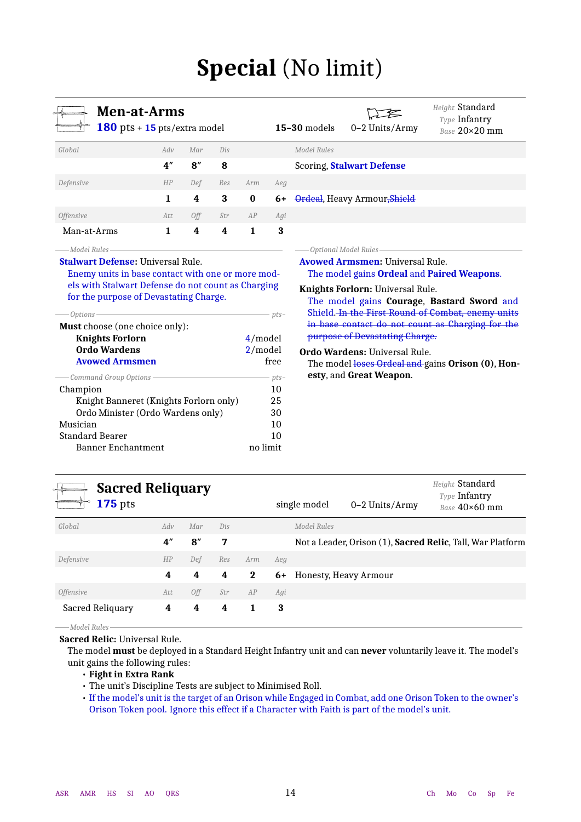## **Special** (No limit)

<span id="page-13-1"></span><span id="page-13-0"></span>

| <b>Men-at-Arms</b><br>180 pts + $15$ pts/extra model                                                                                                                                                      |                 |     |            |            |                                                                                           | $15-30$ models                                                                                                                                                                                              | 0-2 Units/Army                                                                                 | Height Standard<br>Type Infantry<br>Base 20×20 mm |  |  |
|-----------------------------------------------------------------------------------------------------------------------------------------------------------------------------------------------------------|-----------------|-----|------------|------------|-------------------------------------------------------------------------------------------|-------------------------------------------------------------------------------------------------------------------------------------------------------------------------------------------------------------|------------------------------------------------------------------------------------------------|---------------------------------------------------|--|--|
| Global                                                                                                                                                                                                    | Adv             | Mar | Dis        |            |                                                                                           | <b>Model Rules</b>                                                                                                                                                                                          |                                                                                                |                                                   |  |  |
|                                                                                                                                                                                                           | 4 <sup>''</sup> | 8'' | 8          |            |                                                                                           |                                                                                                                                                                                                             |                                                                                                |                                                   |  |  |
| Defensive                                                                                                                                                                                                 | HP              | Def | Res        | Arm        | Aeg                                                                                       |                                                                                                                                                                                                             |                                                                                                |                                                   |  |  |
|                                                                                                                                                                                                           | 1               | 4   | 3          | $\bf{0}$   | 6+                                                                                        | <b>Scoring, Stalwart Defense</b><br>Ordeal, Heavy Armour <del>,Shield</del><br>Optional Model Rules-<br><b>Avowed Armsmen: Universal Rule.</b><br>The model gains <b>Ordeal</b> and <b>Paired Weapons</b> . |                                                                                                |                                                   |  |  |
| <b>Offensive</b>                                                                                                                                                                                          | Att             | Off | Str        | AP         | Agi                                                                                       |                                                                                                                                                                                                             |                                                                                                |                                                   |  |  |
| Man-at-Arms                                                                                                                                                                                               | 1               | 4   | 4          | 1          | 3                                                                                         |                                                                                                                                                                                                             |                                                                                                |                                                   |  |  |
| <b>Stalwart Defense: Universal Rule.</b><br>Enemy units in base contact with one or more mod-<br>els with Stalwart Defense do not count as Charging<br>for the purpose of Devastating Charge.<br>Options- |                 |     |            | - pts-     |                                                                                           | Knights Forlorn: Universal Rule.                                                                                                                                                                            | The model gains Courage, Bastard Sword and<br>Shield In the First Round of Combat, enemy units |                                                   |  |  |
| Must choose (one choice only):<br><b>Knights Forlorn</b>                                                                                                                                                  |                 |     |            | $4$ /model |                                                                                           |                                                                                                                                                                                                             | purpose of Devastating Charge.                                                                 | in base contact do not count as Charging for the  |  |  |
| Ordo Wardens<br><b>Avowed Armsmen</b>                                                                                                                                                                     |                 |     | $2$ /model | free       | <b>Ordo Wardens: Universal Rule.</b><br>The model loses Ordeal and gains Orison (0), Hon- |                                                                                                                                                                                                             |                                                                                                |                                                   |  |  |
| Command Group Options -<br>Champion                                                                                                                                                                       |                 |     |            |            | $- pts -$<br>10                                                                           |                                                                                                                                                                                                             | esty, and Great Weapon.                                                                        |                                                   |  |  |
| Knight Banneret (Knights Forlorn only)                                                                                                                                                                    |                 |     |            |            | 25                                                                                        |                                                                                                                                                                                                             |                                                                                                |                                                   |  |  |
| Ordo Minister (Ordo Wardens only)                                                                                                                                                                         |                 |     |            |            | 30                                                                                        |                                                                                                                                                                                                             |                                                                                                |                                                   |  |  |

<span id="page-13-2"></span>

| <b>Sacred Reliquary</b><br><b>175</b> pts |     |     |     |             |     | single model | $0-2$ Units/Army      | Height Standard<br>Type Infantry<br>Base $40\times60$ mm   |
|-------------------------------------------|-----|-----|-----|-------------|-----|--------------|-----------------------|------------------------------------------------------------|
| Global                                    | Adv | Mar | Dis |             |     | Model Rules  |                       |                                                            |
|                                           | 4"  | 8'' | 7   |             |     |              |                       | Not a Leader, Orison (1), Sacred Relic, Tall, War Platform |
| Defensive                                 | HP  | Def | Res | Arm         | Aeg |              |                       |                                                            |
|                                           | 4   | 4   | 4   | $\mathbf 2$ | 6+  |              | Honesty, Heavy Armour |                                                            |
| <i><b>Offensive</b></i>                   | Att | Off | Str | AP          | Agi |              |                       |                                                            |
| Sacred Reliquary                          | 4   | 4   | 4   | 1           | 3   |              |                       |                                                            |

*Model Rules*

**Sacred Relic:** Universal Rule.

The model **must** be deployed in a Standard Height Infantry unit and can **never** voluntarily leave it. The model's unit gains the following rules:

- **Fight in Extra Rank**
- The unit's Discipline Tests are subject to Minimised Roll.

Musician 10 Standard Bearer 10 Banner Enchantment no limit

> • If the model's unit is the target of an Orison while Engaged in Combat, add one Orison Token to the owner's Orison Token pool. Ignore this effect if a Character with Faith is part of the model's unit.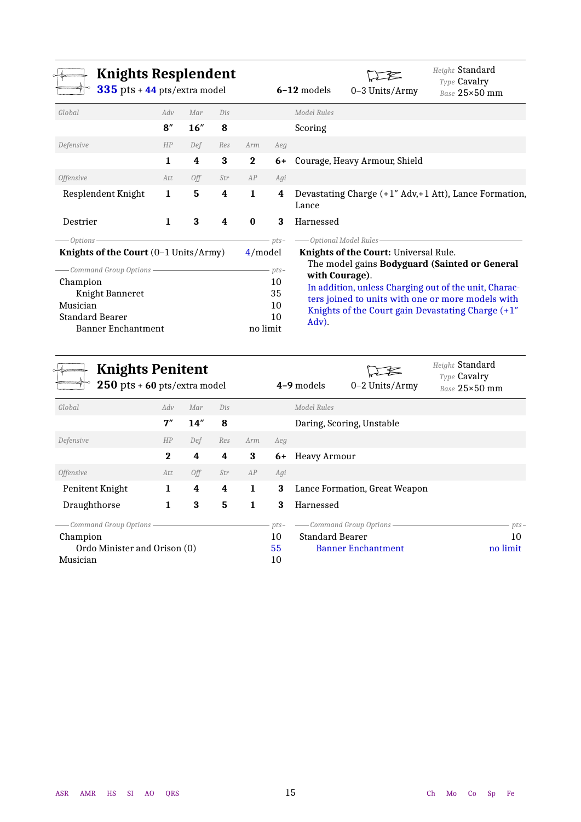<span id="page-14-0"></span>

| <b>Knights Resplendent</b><br>335 pts + 44 pts/extra model                                                                 |              |     |     |              |                                | $6-12$ models           | 0-3 Units/Army                        | Height Standard<br>Type Cavalry<br>Base 25×50 mm                                                                                                                                                                 |
|----------------------------------------------------------------------------------------------------------------------------|--------------|-----|-----|--------------|--------------------------------|-------------------------|---------------------------------------|------------------------------------------------------------------------------------------------------------------------------------------------------------------------------------------------------------------|
| Global                                                                                                                     | Adv          | Mar | Dis |              |                                | Model Rules             |                                       |                                                                                                                                                                                                                  |
|                                                                                                                            | 8''          | 16" | 8   |              |                                | Scoring                 |                                       |                                                                                                                                                                                                                  |
| Defensive                                                                                                                  | HP           | Def | Res | Arm          | Aeg                            |                         |                                       |                                                                                                                                                                                                                  |
|                                                                                                                            | $\mathbf{1}$ | 4   | 3   | $\mathbf{2}$ |                                |                         | 6+ Courage, Heavy Armour, Shield      |                                                                                                                                                                                                                  |
| <i><b>Offensive</b></i>                                                                                                    | Att          | Off | Str | AP           | Agi                            |                         |                                       |                                                                                                                                                                                                                  |
| Resplendent Knight                                                                                                         | 1            | 5   | 4   | 1            | 4                              | Lance                   |                                       | Devastating Charge (+1" Adv,+1 Att), Lance Formation,                                                                                                                                                            |
| Destrier                                                                                                                   | 1            | 3   | 4   | $\bf{0}$     | 3                              | Harnessed               |                                       |                                                                                                                                                                                                                  |
| —Options                                                                                                                   |              |     |     |              | $pts-$                         | -Optional Model Rules   |                                       |                                                                                                                                                                                                                  |
| Knights of the Court $(0-1$ Units/Army)                                                                                    |              |     |     | $4$ /model   |                                |                         | Knights of the Court: Universal Rule. |                                                                                                                                                                                                                  |
| - Command Group Options-<br>Champion<br>Knight Banneret<br>Musician<br><b>Standard Bearer</b><br><b>Banner Enchantment</b> |              |     |     | no limit     | $pts-$<br>10<br>35<br>10<br>10 | with Courage).<br>Adv). |                                       | The model gains Bodyguard (Sainted or General<br>In addition, unless Charging out of the unit, Charac-<br>ters joined to units with one or more models with<br>Knights of the Court gain Devastating Charge (+1" |

<span id="page-14-1"></span>

| <b>Knights Penitent</b><br>$250$ pts + 60 pts/extra model |             |     |     |     |        | 4-9 models             | 0-2 Units/Army                | Height Standard<br>Type Cavalry<br>Base 25×50 mm |  |  |
|-----------------------------------------------------------|-------------|-----|-----|-----|--------|------------------------|-------------------------------|--------------------------------------------------|--|--|
| Global                                                    | Adv         | Mar | Dis |     |        | Model Rules            |                               |                                                  |  |  |
|                                                           | 7''         | 14" | 8   |     |        |                        | Daring, Scoring, Unstable     |                                                  |  |  |
| Defensive                                                 | HP          | Def | Res | Arm | Aeg    |                        |                               |                                                  |  |  |
|                                                           | $\mathbf 2$ | 4   | 4   | 3   | 6+     | Heavy Armour           |                               |                                                  |  |  |
| <i><b>Offensive</b></i>                                   | Att         | 0ff | Str | AP  | Agi    |                        |                               |                                                  |  |  |
| Penitent Knight                                           | 1           | 4   | 4   | 1   | 3      |                        | Lance Formation, Great Weapon |                                                  |  |  |
| Draughthorse                                              | 1           | 3   | 5   | 1   | 3      | Harnessed              |                               |                                                  |  |  |
| Command Group Options -                                   |             |     |     |     | $pts-$ |                        | - Command Group Options -     | $pts-$                                           |  |  |
| Champion                                                  |             |     |     |     | 10     | <b>Standard Bearer</b> |                               | 10                                               |  |  |
| Ordo Minister and Orison (0)                              |             |     |     |     | 55     |                        | <b>Banner Enchantment</b>     | no limit                                         |  |  |
| Musician                                                  |             |     |     |     | 10     |                        |                               |                                                  |  |  |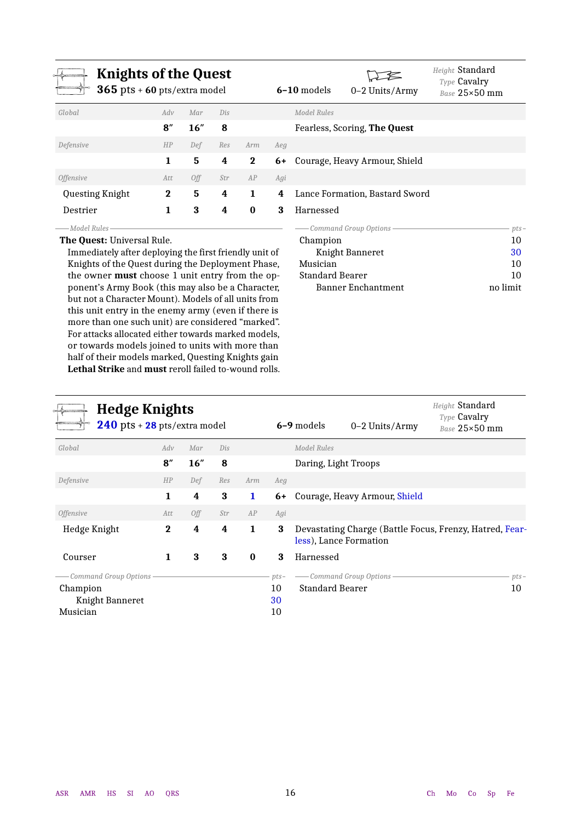<span id="page-15-0"></span>

| <b>Knights of the Quest</b><br>$365$ pts + 60 pts/extra model |          |      |     |              |     | $6-10$ models | 0-2 Units/Army                 | Height Standard<br><b>Type Cavalry</b><br>Base 25×50 mm |
|---------------------------------------------------------------|----------|------|-----|--------------|-----|---------------|--------------------------------|---------------------------------------------------------|
| Global                                                        | Adv      | Mar  | Dis |              |     | Model Rules   |                                |                                                         |
|                                                               | 8''      | 16'' | 8   |              |     |               | Fearless, Scoring, The Quest   |                                                         |
| Defensive                                                     | HP       | Def  | Res | Arm          | Aeg |               |                                |                                                         |
|                                                               | 1        | 5    | 4   | $\mathbf{2}$ | 6+  |               | Courage, Heavy Armour, Shield  |                                                         |
| <i>Offensive</i>                                              | Att      | 0ff  | Str | AP           | Agi |               |                                |                                                         |
| Questing Knight                                               | $\bf{2}$ | 5    | 4   | 1            | 4   |               | Lance Formation, Bastard Sword |                                                         |
| Destrier                                                      | 1        | 3    | 4   | $\bf{0}$     | 3   | Harnessed     |                                |                                                         |
| Model Rules                                                   |          |      |     |              |     |               | - Command Group Options -      | $pts-$                                                  |

#### **The Quest:** Universal Rule.

Immediately after deploying the first friendly unit of Knights of the Quest during the Deployment Phase, the owner **must** choose 1 unit entry from the opponent's Army Book (this may also be a Character, but not a Character Mount). Models of all units from this unit entry in the enemy army (even if there is more than one such unit) are considered "marked". For attacks allocated either towards marked models, or towards models joined to units with more than half of their models marked, Questing Knights gain **Lethal Strike** and **must** reroll failed to-wound rolls.

## Champion 10<br>Knight Banneret 30 Knight Banneret 30<br>Sician 30 Musician 10<br>Standard Bearer 10 Standard Bearer Banner Enchantment no limit

<span id="page-15-1"></span>

| <b>Hedge Knights</b><br>$240$ pts + $28$ pts/extra model |                |     |     |          |        | 6-9 models<br>$0-2$ Units/Army                                                    | Height Standard<br><b>Type Cavalry</b><br>Base 25×50 mm |
|----------------------------------------------------------|----------------|-----|-----|----------|--------|-----------------------------------------------------------------------------------|---------------------------------------------------------|
| Global                                                   | Adv            | Mar | Dis |          |        | <b>Model Rules</b>                                                                |                                                         |
|                                                          | $\mathbf{8}''$ | 16" | 8   |          |        | Daring, Light Troops                                                              |                                                         |
| Defensive                                                | HP             | Def | Res | Arm      | Aeg    |                                                                                   |                                                         |
|                                                          | 1              | 4   | 3   | 1        | 6+     | Courage, Heavy Armour, Shield                                                     |                                                         |
| <i><b>Offensive</b></i>                                  | Att            | Off | Str | AP       | Agi    |                                                                                   |                                                         |
| Hedge Knight                                             | $\bf{2}$       | 4   | 4   | 1        | 3      | Devastating Charge (Battle Focus, Frenzy, Hatred, Fear-<br>less), Lance Formation |                                                         |
| Courser                                                  | 1              | 3   | 3   | $\bf{0}$ | 3      | Harnessed                                                                         |                                                         |
| Command Group Options -                                  |                |     |     |          | $pts-$ | - Command Group Options-                                                          | $pts-$                                                  |
| Champion                                                 |                |     |     |          | 10     | <b>Standard Bearer</b>                                                            | 10                                                      |
| Knight Banneret                                          |                |     |     |          | 30     |                                                                                   |                                                         |
| Musician                                                 |                |     |     |          | 10     |                                                                                   |                                                         |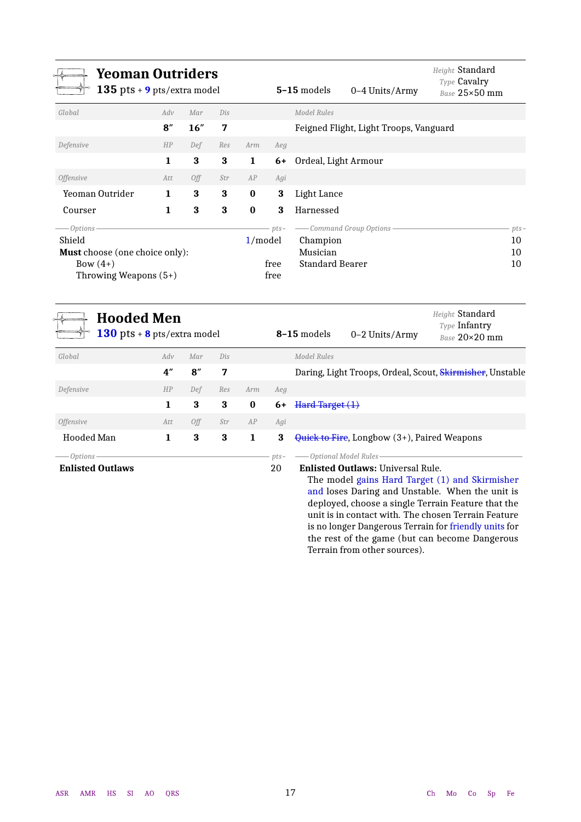<span id="page-16-0"></span>

| <b>Yeoman Outriders</b><br>135 pts + $9$ pts/extra model |             |     |     |          |        | $5-15$ models<br>0-4 Units/Army        | Height <b>Standard</b><br>Type Cavalry<br>Base 25×50 mm |
|----------------------------------------------------------|-------------|-----|-----|----------|--------|----------------------------------------|---------------------------------------------------------|
| Global                                                   | Adv         | Mar | Dis |          |        | Model Rules                            |                                                         |
|                                                          | 8''         | 16" | 7   |          |        | Feigned Flight, Light Troops, Vanguard |                                                         |
| Defensive                                                | HP          | Def | Res | Arm      | Aeg    |                                        |                                                         |
|                                                          | $\mathbf 1$ | 3   | 3   | 1        | 6+     | Ordeal, Light Armour                   |                                                         |
| <i><b>Offensive</b></i>                                  | Att         | Off | Str | AP       | Agi    |                                        |                                                         |
| Yeoman Outrider                                          | 1           | 3   | 3   | $\bf{0}$ | 3      | Light Lance                            |                                                         |
| Courser                                                  | 1           | 3   | 3   | $\bf{0}$ | 3      | Harnessed                              |                                                         |
| -Options -                                               |             |     |     |          | $pts-$ | - Command Group Options                | $pts-$                                                  |
| Shield                                                   |             |     |     | 1/model  |        | Champion                               | 10                                                      |
| <b>Must</b> choose (one choice only):                    |             |     |     |          |        | Musician                               | 10                                                      |
| Bow $(4+)$                                               |             |     |     |          | free   | <b>Standard Bearer</b>                 | 10                                                      |
| Throwing Weapons $(5+)$                                  |             |     |     |          | free   |                                        |                                                         |

<span id="page-16-1"></span>

| <b>Hooded Men</b><br>$130$ pts + 8 pts/extra model |     |     |     |          |              | 8-15 models<br>$0-2$ Units/Army                                                                                     | Height Standard<br><b>Type Infantry</b><br>$Base 20 \times 20$ mm |
|----------------------------------------------------|-----|-----|-----|----------|--------------|---------------------------------------------------------------------------------------------------------------------|-------------------------------------------------------------------|
| Global                                             | Adv | Mar | Dis |          |              | Model Rules                                                                                                         |                                                                   |
|                                                    | 4"  | 8'' | 7   |          |              | Daring, Light Troops, Ordeal, Scout, Skirmisher, Unstable                                                           |                                                                   |
| Defensive                                          | HP  | Def | Res | Arm      | Aeg          |                                                                                                                     |                                                                   |
|                                                    | 1   | 3   | 3   | $\bf{0}$ | 6+           | Hard Target(1)                                                                                                      |                                                                   |
| <i><b>Offensive</b></i>                            | Att | 0ff | Str | AP       | Agi          |                                                                                                                     |                                                                   |
| Hooded Man                                         | 1   | 3   | 3   | 1        | 3            | Quick to Fire, Longbow (3+), Paired Weapons                                                                         |                                                                   |
| – Options ·<br><b>Enlisted Outlaws</b>             |     |     |     |          | $pts-$<br>20 | -Optional Model Rules<br><b>Enlisted Outlaws: Universal Rule.</b><br>The model gains Hard Target (1) and Skirmisher |                                                                   |

and loses Daring and Unstable. When the unit is deployed, choose a single Terrain Feature that the unit is in contact with. The chosen Terrain Feature is no longer Dangerous Terrain for friendly units for the rest of the game (but can become Dangerous Terrain from other sources).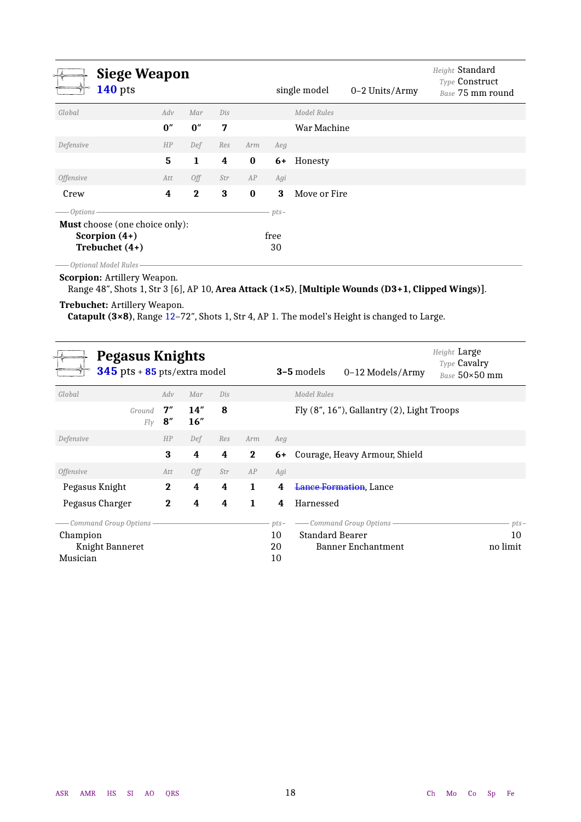<span id="page-17-0"></span>

| <b>Siege Weapon</b><br><b>140</b> pts                                                               |     |              |     |          |                      | single model       | 0-2 Units/Army | Height Standard<br>Type Construct<br>Base 75 mm round |
|-----------------------------------------------------------------------------------------------------|-----|--------------|-----|----------|----------------------|--------------------|----------------|-------------------------------------------------------|
| Global                                                                                              | Adv | Mar          | Dis |          |                      | <b>Model Rules</b> |                |                                                       |
|                                                                                                     | 0'' | 0''          | 7   |          |                      | War Machine        |                |                                                       |
| Defensive                                                                                           | HP  | Def          | Res | Arm      | Aeg                  |                    |                |                                                       |
|                                                                                                     | 5   | $\mathbf 1$  | 4   | $\bf{0}$ | 6+                   | Honesty            |                |                                                       |
| <i><b>Offensive</b></i>                                                                             | Att | Off          | Str | AP       | Agi                  |                    |                |                                                       |
| Crew                                                                                                | 4   | $\mathbf{2}$ | 3   | $\bf{0}$ | 3                    | Move or Fire       |                |                                                       |
| $-$ Options $\cdot$<br><b>Must</b> choose (one choice only):<br>Scorpion $(4+)$<br>Trebuchet $(4+)$ |     |              |     |          | $pts-$<br>free<br>30 |                    |                |                                                       |

*Optional Model Rules*

**Scorpion:** Artillery Weapon.

Range 48″, Shots 1, Str 3 [6], AP 10, **Area Attack (1×5)**, **[Multiple Wounds (D3+1, Clipped Wings)]**.

#### **Trebuchet:** Artillery Weapon.

**Catapult (3×8)**, Range 12–72″, Shots 1, Str 4, AP 1. The model's Height is changed to Large.

<span id="page-17-1"></span>

|                           | Pegasus Knights<br>$345$ pts + $85$ pts/extra model |                      |            |     |              |        | <b>3-5</b> models      | 0–12 Models/Army                           | Height Large<br>Type Cavalry<br>Base 50×50 mm |
|---------------------------|-----------------------------------------------------|----------------------|------------|-----|--------------|--------|------------------------|--------------------------------------------|-----------------------------------------------|
| Global                    |                                                     | Adv                  | Mar        | Dis |              |        | Model Rules            |                                            |                                               |
|                           | Ground<br>Fly                                       | 7"<br>$\mathbf{8}''$ | 14"<br>16" | 8   |              |        |                        | Fly (8", 16"), Gallantry (2), Light Troops |                                               |
| Defensive                 |                                                     | HP                   | Def        | Res | Arm          | Aeg    |                        |                                            |                                               |
|                           |                                                     | 3                    | 4          | 4   | $\mathbf{2}$ | 6+     |                        | Courage, Heavy Armour, Shield              |                                               |
| <i>Offensive</i>          |                                                     | Att                  | Off        | Str | AP           | Agi    |                        |                                            |                                               |
| Pegasus Knight            |                                                     | $\bf{2}$             | 4          | 4   | 1            | 4      |                        | <b>Lance Formation</b> , Lance             |                                               |
| Pegasus Charger           |                                                     | $\bf{2}$             | 4          | 4   | 1            | 4      | Harnessed              |                                            |                                               |
| - Command Group Options - |                                                     |                      |            |     |              | $pts-$ |                        | - Command Group Options                    | $pts-$                                        |
| Champion                  |                                                     |                      |            |     |              | 10     | <b>Standard Bearer</b> |                                            | 10                                            |
| Knight Banneret           |                                                     |                      |            |     |              | 20     |                        | Banner Enchantment                         | no limit                                      |
| Musician                  |                                                     |                      |            |     |              | 10     |                        |                                            |                                               |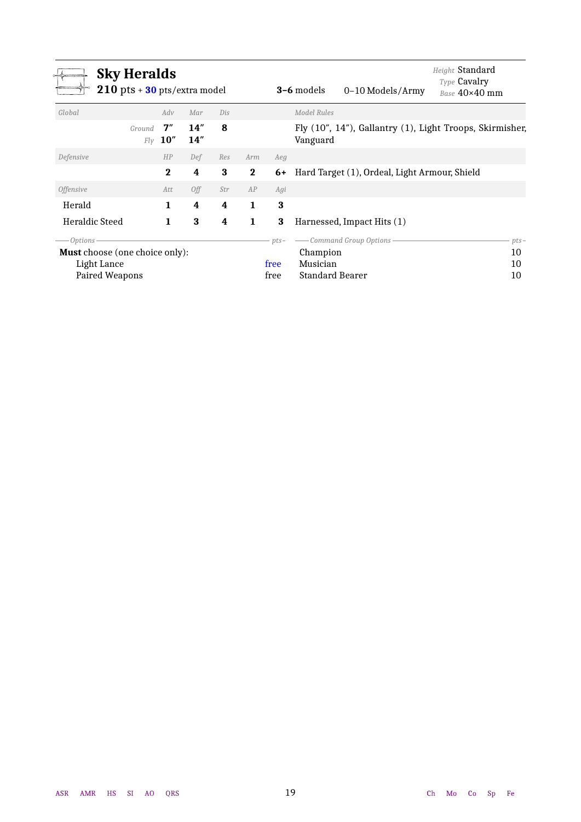<span id="page-18-1"></span><span id="page-18-0"></span>

|                                       | <b>Sky Heralds</b><br>$210$ pts + $30$ pts/extra model |             |             |     |              |        | <b>3-6</b> models      | 0-10 Models/Army                                 | Height Standard<br>Type Cavalry<br>Base 40×40 mm         |
|---------------------------------------|--------------------------------------------------------|-------------|-------------|-----|--------------|--------|------------------------|--------------------------------------------------|----------------------------------------------------------|
| Global                                |                                                        | Adv         | Mar         | Dis |              |        | Model Rules            |                                                  |                                                          |
|                                       | Ground<br>Flv                                          | 7''<br>10'' | 14"<br>14'' | 8   |              |        | Vanguard               |                                                  | Fly (10", 14"), Gallantry (1), Light Troops, Skirmisher, |
| Defensive                             |                                                        | HP          | Def         | Res | Arm          | Aeg    |                        |                                                  |                                                          |
|                                       |                                                        | $\mathbf 2$ | 4           | 3   | $\mathbf{2}$ |        |                        | 6+ Hard Target (1), Ordeal, Light Armour, Shield |                                                          |
| <i><b>Offensive</b></i>               |                                                        | Att         | Off         | Str | AP           | Agi    |                        |                                                  |                                                          |
| Herald                                |                                                        | 1           | 4           | 4   | 1            | 3      |                        |                                                  |                                                          |
| <b>Heraldic Steed</b>                 |                                                        | 1           | 3           | 4   | 1            | 3      |                        | Harnessed, Impact Hits (1)                       |                                                          |
| – Options ·                           |                                                        |             |             |     |              | $pts-$ |                        | - Command Group Options -                        | $pts-$                                                   |
| <b>Must</b> choose (one choice only): |                                                        |             |             |     |              |        | Champion               |                                                  | 10                                                       |
| Light Lance                           |                                                        |             |             |     |              | free   | Musician               |                                                  | 10                                                       |
| Paired Weapons                        |                                                        |             |             |     |              | free   | <b>Standard Bearer</b> |                                                  | 10                                                       |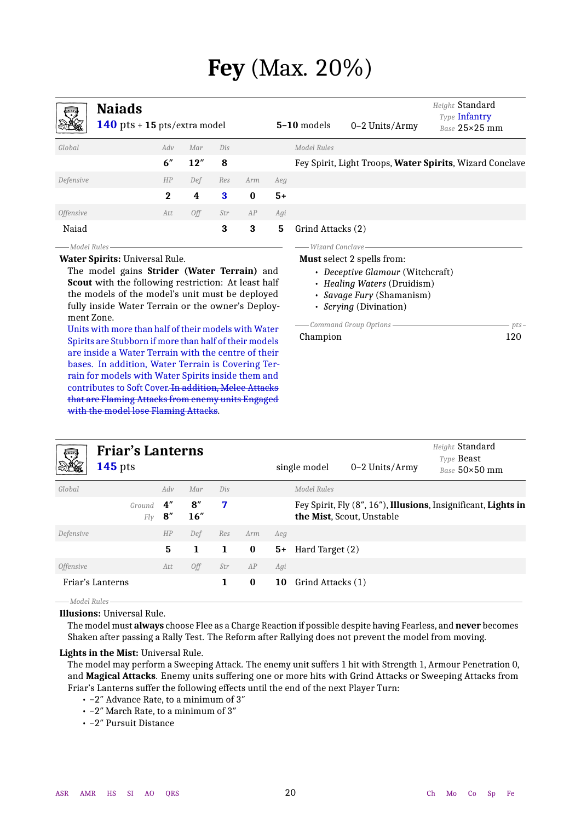## **Fey** (Max. 20%)

<span id="page-19-1"></span><span id="page-19-0"></span>

| 弓                       | <b>Naiads</b><br>140 pts + 15 pts/extra model |              |     |     |          |      | $5-10$ models     | 0-2 Units/Army | Height Standard<br>Type Infantry<br>Base 25×25 mm        |
|-------------------------|-----------------------------------------------|--------------|-----|-----|----------|------|-------------------|----------------|----------------------------------------------------------|
| Global                  |                                               | Adv          | Mar | Dis |          |      | Model Rules       |                |                                                          |
|                         |                                               | 6''          | 12" | 8   |          |      |                   |                | Fey Spirit, Light Troops, Water Spirits, Wizard Conclave |
| Defensive               |                                               | HP           | Def | Res | Arm      | Aeg  |                   |                |                                                          |
|                         |                                               | $\mathbf{2}$ | 4   | 3   | $\bf{0}$ | $5+$ |                   |                |                                                          |
| <i><b>Offensive</b></i> |                                               | Att          | Off | Str | AP       | Agi  |                   |                |                                                          |
| Naiad                   |                                               |              |     | 3   | 3        | 5    | Grind Attacks (2) |                |                                                          |
| ——Model Rules           |                                               |              |     |     |          |      | - Wizard Conclave |                |                                                          |

#### **Water Spirits:** Universal Rule.

The model gains **Strider (Water Terrain)** and **Scout** with the following restriction: At least half the models of the model's unit must be deployed fully inside Water Terrain or the owner's Deployment Zone.

Units with more than half of their models with Water Spirits are Stubborn if more than half of their models are inside a Water Terrain with the centre of their bases. In addition, Water Terrain is Covering Terrain for models with Water Spirits inside them and contributes to Soft Cover. In addition, Melee Attacks that are Flaming Attacks from enemy units Engaged with the model lose Flaming Attacks.

#### **Must** select 2 spells from:

- *Deceptive Glamour* (Witchcraft)
- *Healing Waters* (Druidism)
- *Savage Fury* (Shamanism)
- *Scrying* (Divination)

|          | pts – |
|----------|-------|
| Champion | 120   |

<span id="page-19-2"></span>

| 零                | <b>Friar's Lanterns</b><br>$145$ pts |                       |                       |     |          |      | single model      | 0-2 Units/Army            | Height Standard<br><b>Type Beast</b><br>$Base 50 \times 50$ mm |
|------------------|--------------------------------------|-----------------------|-----------------------|-----|----------|------|-------------------|---------------------------|----------------------------------------------------------------|
| Global           |                                      | Adv                   | Mar                   | Dis |          |      | Model Rules       |                           |                                                                |
|                  | Ground<br>Flv                        | 4''<br>$\mathbf{8}''$ | $\mathbf{8}''$<br>16" | 7   |          |      |                   | the Mist, Scout, Unstable | Fey Spirit, Fly (8", 16"), Illusions, Insignificant, Lights in |
| Defensive        |                                      | HP                    | Def                   | Res | Arm      | Aeg  |                   |                           |                                                                |
|                  |                                      | 5                     | 1                     | 1   | $\bf{0}$ | $5+$ | Hard Target (2)   |                           |                                                                |
| <i>Offensive</i> |                                      | Att                   | Off                   | Str | AP       | Agi  |                   |                           |                                                                |
|                  | Friar's Lanterns                     |                       |                       | 1.  | $\bf{0}$ | 10   | Grind Attacks (1) |                           |                                                                |

#### *Model Rules* **Illusions:** Universal Rule.

The model must **always** choose Flee as a Charge Reaction if possible despite having Fearless, and **never** becomes Shaken after passing a Rally Test. The Reform after Rallying does not prevent the model from moving.

#### **Lights in the Mist:** Universal Rule.

The model may perform a Sweeping Attack. The enemy unit suffers 1 hit with Strength 1, Armour Penetration 0, and **Magical Attacks**. Enemy units suffering one or more hits with Grind Attacks or Sweeping Attacks from Friar's Lanterns suffer the following effects until the end of the next Player Turn:

- −2″ Advance Rate, to a minimum of 3″
- −2″ March Rate, to a minimum of 3″
- −2″ Pursuit Distance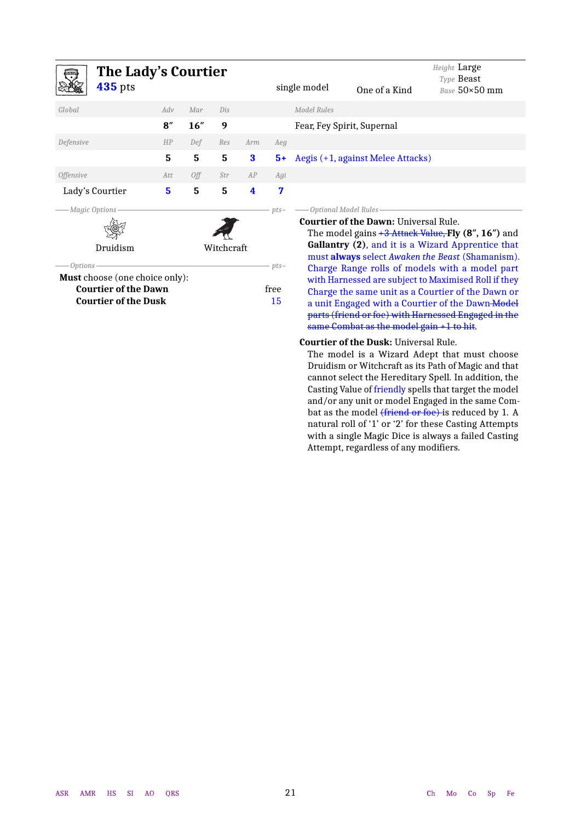<span id="page-20-0"></span>

| <b>The Lady's Courtier</b>                       |     |      |            |          |            |              |                                              | Height Large<br>Type <b>Beast</b>                                                                                  |
|--------------------------------------------------|-----|------|------------|----------|------------|--------------|----------------------------------------------|--------------------------------------------------------------------------------------------------------------------|
| <b>435</b> pts                                   |     |      |            |          |            | single model | One of a Kind                                | Base 50×50 mm                                                                                                      |
| Global                                           | Adv | Mar  | Dis        |          |            | Model Rules  |                                              |                                                                                                                    |
|                                                  | 8'' | 16'' | 9          |          |            |              | Fear, Fey Spirit, Supernal                   |                                                                                                                    |
| Defensive                                        | HP  | Def  | Res        | Arm      | <b>Aeg</b> |              |                                              |                                                                                                                    |
|                                                  | 5   | 5    | 5          | $\bf{3}$ | $5+$       |              | Aegis (+1, against Melee Attacks)            |                                                                                                                    |
| <i><b>Offensive</b></i>                          | Att | Off  | Str        | AP       | Agi        |              |                                              |                                                                                                                    |
| Lady's Courtier                                  | 5   | 5    | 5          | 4        | 7          |              |                                              |                                                                                                                    |
| Magic Options                                    |     |      |            |          | $pts-$     |              | – Optional Model Rules <sup>.</sup>          |                                                                                                                    |
|                                                  |     |      |            |          |            |              | <b>Courtier of the Dawn: Universal Rule.</b> |                                                                                                                    |
| Druidism                                         |     |      | Witchcraft |          |            |              |                                              | The model gains $+3$ Attack Value, Fly $(8", 16")$ and<br><b>Gallantry (2), and it is a Wizard Apprentice that</b> |
|                                                  |     |      |            |          |            |              |                                              | must always select Awaken the Beast (Shamanism).                                                                   |
| Options<br><b>Must</b> choose (one choice only): |     |      |            |          | $pts-$     |              |                                              | Charge Range rolls of models with a model part                                                                     |
| <b>Courtier of the Dawn</b>                      |     |      |            |          | free       |              |                                              | with Harnessed are subject to Maximised Roll if they<br>Charge the same unit as a Courtier of the Dawn or          |
| <b>Courtier of the Dusk</b>                      |     |      |            |          | 15         |              |                                              | a unit Engaged with a Courtier of the Dawn-Model                                                                   |
|                                                  |     |      |            |          |            |              |                                              | parts (friend or foe) with Harnessed Engaged in the                                                                |
|                                                  |     |      |            |          |            |              | same Combat as the model gain $+1$ to hit.   |                                                                                                                    |

#### **Courtier of the Dusk:** Universal Rule.

The model is a Wizard Adept that must choose Druidism or Witchcraft as its Path of Magic and that cannot select the Hereditary Spell. In addition, the Casting Value of friendly spells that target the model and/or any unit or model Engaged in the same Combat as the model (friend or foe) is reduced by 1. A natural roll of '1' or '2' for these Casting Attempts with a single Magic Dice is always a failed Casting Attempt, regardless of any modifiers.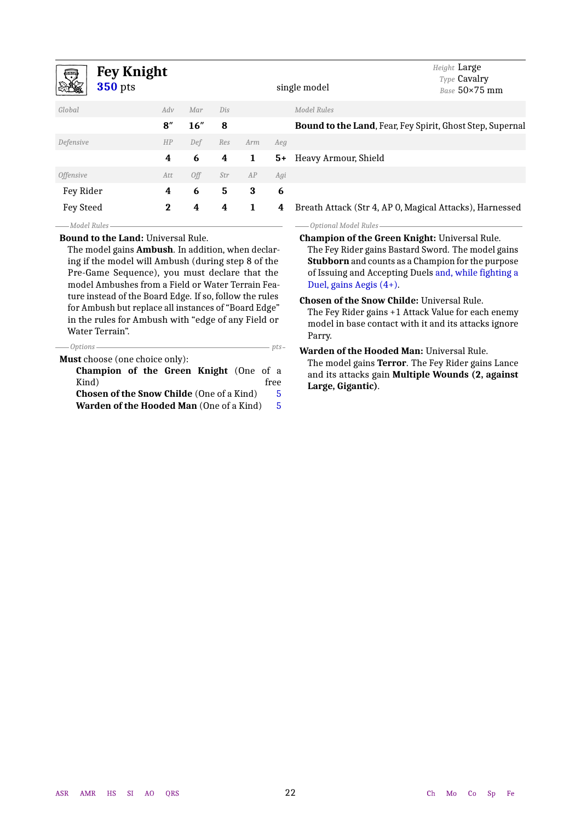<span id="page-21-0"></span>

| <b>Fey Knight</b><br><b>350</b> pts                       |          |     |     |     |      | single model                                              | Height Large<br>Type Cavalry<br>Base 50×75 mm            |  |  |  |
|-----------------------------------------------------------|----------|-----|-----|-----|------|-----------------------------------------------------------|----------------------------------------------------------|--|--|--|
| Global                                                    | Adv      | Mar | Dis |     |      | <b>Model Rules</b>                                        |                                                          |  |  |  |
|                                                           | 8''      | 16" | 8   |     |      | Bound to the Land, Fear, Fey Spirit, Ghost Step, Supernal |                                                          |  |  |  |
| Defensive                                                 | HP       | Def | Res | Arm | Aeg  |                                                           |                                                          |  |  |  |
|                                                           | 4        | 6   | 4   | 1   | $5+$ | Heavy Armour, Shield                                      |                                                          |  |  |  |
| <i><b>Offensive</b></i>                                   | Att      | Off | Str | AP  | Agi  |                                                           |                                                          |  |  |  |
| Fey Rider                                                 | 4        | 6   | 5   | 3   | 6    |                                                           |                                                          |  |  |  |
| Fey Steed                                                 | $\bf{2}$ | 4   | 4   | 1   | 4    | Breath Attack (Str 4, AP 0, Magical Attacks), Harnessed   |                                                          |  |  |  |
| Model Rules                                               |          |     |     |     |      | Optional Model Rules                                      |                                                          |  |  |  |
| <b>Bound to the Land: Universal Rule.</b>                 |          |     |     |     |      | <b>Champion of the Green Knight: Universal Rule.</b>      |                                                          |  |  |  |
| The model gains <b>Ambush</b> . In addition, when declar- |          |     |     |     |      | The Fey Rider gains Bastard Sword. The model gains        |                                                          |  |  |  |
| ing if the model will Ambush (during step 8 of the        |          |     |     |     |      |                                                           | <b>Stubborn</b> and counts as a Champion for the purpose |  |  |  |
| Pre-Game Sequence), you must declare that the             |          |     |     |     |      |                                                           | of Issuing and Accepting Duels and, while fighting a     |  |  |  |
| model Ambushes from a Field or Water Terrain Fea-         |          |     |     |     |      | Duel, gains Aegis $(4+)$ .                                |                                                          |  |  |  |
| ture instead of the Board Edge. If so, follow the rules   |          |     |     |     |      | <b>Chosen of the Snow Childe: Universal Rule.</b>         |                                                          |  |  |  |
| for Ambush but replace all instances of "Board Edge"      |          |     |     |     |      | The Fey Rider gains +1 Attack Value for each enemy        |                                                          |  |  |  |
| in the rules for Ambush with "edge of any Field or        |          |     |     |     |      | model in base contact with it and its attacks ignore      |                                                          |  |  |  |

Parry.

*Options pts*

Water Terrain".

| <b>Must</b> choose (one choice only):                 |      |  |  |  |  |  |  |  |  |  |  |
|-------------------------------------------------------|------|--|--|--|--|--|--|--|--|--|--|
| <b>Champion of the Green Knight</b> (One of a         |      |  |  |  |  |  |  |  |  |  |  |
| Kind)                                                 | free |  |  |  |  |  |  |  |  |  |  |
| <b>Chosen of the Snow Childe (One of a Kind)</b>      | 5    |  |  |  |  |  |  |  |  |  |  |
| <b>Warden of the Hooded Man</b> (One of a Kind)<br>-5 |      |  |  |  |  |  |  |  |  |  |  |

**Warden of the Hooded Man:** Universal Rule. The model gains **Terror**. The Fey Rider gains Lance and its attacks gain **Multiple Wounds (2, against Large, Gigantic)**.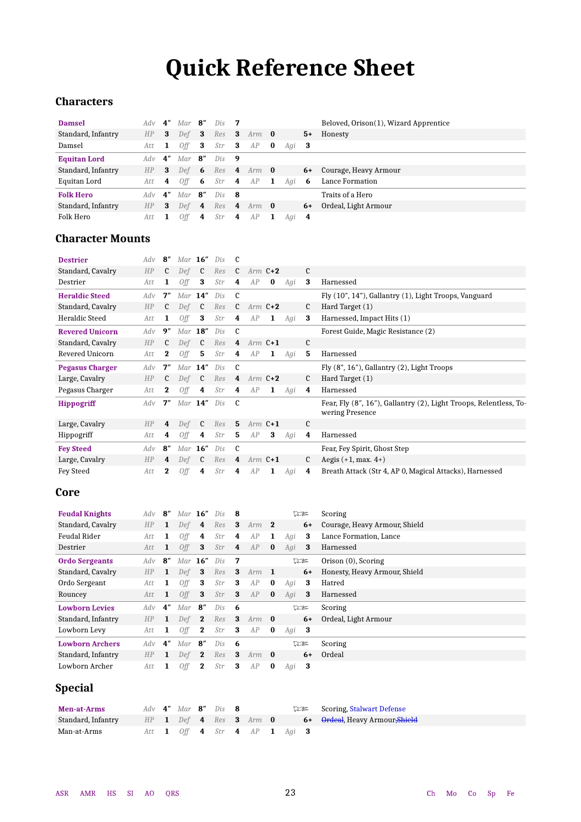## **Quick Reference Sheet**

## <span id="page-22-0"></span>**Characters**

| <b>Damsel</b>       | Adv            | 4″ | $Mar$ 8"        |      | $Dis$ 7 |                         |                       |     |                 |      | Beloved, Orison(1), Wizard Apprentice |
|---------------------|----------------|----|-----------------|------|---------|-------------------------|-----------------------|-----|-----------------|------|---------------------------------------|
| Standard, Infantry  | HP             | 3  | Def $\mathbf 3$ |      | Res     |                         | <b>3</b> Arm <b>0</b> |     |                 | $5+$ | Honesty                               |
| Damsel              | Att            | -1 | Off             | - 3  | Str     | $\overline{\mathbf{3}}$ | AP                    | - 0 | Agi $\mathbf 3$ |      |                                       |
| <b>Equitan Lord</b> | Adv            | 4″ | Mar             | - 8″ | Dis     | - 9                     |                       |     |                 |      |                                       |
| Standard, Infantry  | H <sub>P</sub> | 3  | Def $6$         |      | Res     |                         | <b>4</b> Arm <b>0</b> |     |                 | $6+$ | Courage, Heavy Armour                 |
| Equitan Lord        | Att            | 4  | 0ff             | -6   | Str     | 4                       | AP                    | -1  | Agi             | -6   | Lance Formation                       |
| <b>Folk Hero</b>    | Adv            | 4″ | Mar $8''$       |      | Dis     | - 8                     |                       |     |                 |      | Traits of a Hero                      |
| Standard, Infantry  | HP             | 3  | $Def$ 4         |      | Res     |                         | <b>4</b> Arm <b>0</b> |     |                 | $6+$ | Ordeal, Light Armour                  |
| Folk Hero           | Att            |    | Off             | 4    | Str     | 4                       | AP                    | 1   | Agi $\mathbf 4$ |      |                                       |

### **Character Mounts**

| <b>Destrier</b>        | Adv | 8''            | Mar            | 16''          | Dis |                |           |           |     |                |                                                                                      |
|------------------------|-----|----------------|----------------|---------------|-----|----------------|-----------|-----------|-----|----------------|--------------------------------------------------------------------------------------|
| Standard, Cavalry      | HP  | $\mathfrak{c}$ | Def            | $\mathfrak c$ | Res | $\mathfrak{c}$ |           | $Arm C+2$ |     | $\mathfrak c$  |                                                                                      |
| Destrier               | Att | 1              | Off            | 3             | Str | 4              | AP        | $\bf{0}$  | Agi | 3              | Harnessed                                                                            |
| <b>Heraldic Steed</b>  | Adv | 7''            | $Mar$ 14"      |               | Dis | $\mathbf c$    |           |           |     |                | Fly $(10", 14")$ , Gallantry $(1)$ , Light Troops, Vanguard                          |
| Standard, Cavalry      | HP  | C              | Def            | $\mathfrak c$ | Res | $\mathfrak{c}$ |           | Arm $C+2$ |     | C              | Hard Target (1)                                                                      |
| Heraldic Steed         | Att | 1              | Off            | 3             | Str | 4              | AP        | 1         | Agi | 3              | Harnessed, Impact Hits (1)                                                           |
| <b>Revered Unicorn</b> | Adv | 9''            | $Mar$ 18"      |               | Dis | $\mathbf c$    |           |           |     |                | Forest Guide, Magic Resistance (2)                                                   |
| Standard, Cavalry      | HP  | C              | Def            | $\mathfrak c$ | Res | 4              |           | Arm $C+1$ |     | $\mathbf{c}$   |                                                                                      |
| Revered Unicorn        | Att | $\bf{2}$       | Off            | 5             | Str | 4              | AP        | 1         | Agi | 5              | Harnessed                                                                            |
| <b>Pegasus Charger</b> | Adv | 7''            | $Mar$ 14"      |               | Dis | <sub>c</sub>   |           |           |     |                | Fly $(8", 16")$ , Gallantry $(2)$ , Light Troops                                     |
| Large, Cavalry         | HP  | C              | Def            | $\mathfrak c$ | Res | 4              | Arm $C+2$ |           |     | C              | Hard Target (1)                                                                      |
| Pegasus Charger        | Att | $\bf{2}$       | Off            | 4             | Str | 4              | AP        | 1         | Agi | 4              | Harnessed                                                                            |
| <b>Hippogriff</b>      | Adv | 7''            | Mar $14''$ Dis |               |     | $\mathbf{c}$   |           |           |     |                | Fear, Fly (8", 16"), Gallantry (2), Light Troops, Relentless, To-<br>wering Presence |
| Large, Cavalry         | HP  | 4              | Def            | C             | Res | 5              |           | Arm $C+1$ |     | C              |                                                                                      |
| Hippogriff             | Att | 4              | 0ff            | 4             | Str | 5              | AP        | 3         | Agi | 4              | Harnessed                                                                            |
| <b>Fey Steed</b>       | Adv | $\mathbf{8}''$ | Mar $16''$     |               | Dis | - C            |           |           |     |                | Fear, Fey Spirit, Ghost Step                                                         |
| Large, Cavalry         | HP  | 4              | Def            | C             | Res | 4              |           | Arm $C+1$ |     | $\mathfrak{c}$ | Aegis $(+1, \text{max. } 4+)$                                                        |
| Fey Steed              | Att | $\bf{2}$       | <b>Off</b>     | 4             | Str | 4              | AP        | 1         | Agi | 4              | Breath Attack (Str 4, AP 0, Magical Attacks), Harnessed                              |

### **Core**

| <b>Feudal Knights</b>  | Adv | $\mathbf{R}^{\prime\prime}$ | Mar $16''$ |                             | Dis | -8             |                  |          |     | $\nabla z$ | Scoring                       |
|------------------------|-----|-----------------------------|------------|-----------------------------|-----|----------------|------------------|----------|-----|------------|-------------------------------|
| Standard, Cavalry      | HP  | 1                           | Def        | $\overline{4}$              | Res | 3              | $Arm$ 2          |          |     | 6+         | Courage, Heavy Armour, Shield |
| <b>Feudal Rider</b>    | Att | 1                           | 0ff        | 4                           | Str | 4              | AP               | 1        | Agi | 3          | Lance Formation, Lance        |
| Destrier               | Att | 1                           | <b>Off</b> | 3                           | Str | $\overline{4}$ | AP               | $\bf{0}$ | Agi | 3          | Harnessed                     |
| <b>Ordo Sergeants</b>  | Adv | $\mathbf{8}^{\prime\prime}$ | $Mar$ 16"  |                             | Dis | -7             |                  |          |     | $\nabla z$ | Orison (0), Scoring           |
| Standard, Cavalry      | HP  | $\mathbf{1}$                | Def        | - 3                         | Res | -3             | $Arm \t1$        |          |     | $6+$       | Honesty, Heavy Armour, Shield |
| Ordo Sergeant          | Att | 1                           | 0ff        | 3                           | Str | 3              | AP               | $\bf{0}$ | Agi | 3          | Hatred                        |
| Rouncey                | Att | 1                           | <b>Off</b> | 3                           | Str | 3              | AP               | $\bf{0}$ | Agi | 3          | Harnessed                     |
| <b>Lowborn Levies</b>  | Adv | $4^{\prime\prime}$          | Mar        | $\mathbf{8}^{\prime\prime}$ | Dis | -6             |                  |          |     | $\square$  | Scoring                       |
| Standard, Infantry     | HP  | 1                           | Def        | $\mathbf{2}$                | Res | 3              | Arm $\mathbf{0}$ |          |     | $6+$       | Ordeal, Light Armour          |
| Lowborn Levy           | Att | 1                           | 0ff        | $\mathbf 2$                 | Str | 3              | AP               | $\bf{0}$ | Agi | -3         |                               |
| <b>Lowborn Archers</b> | Adv | 4"                          | Mar        | $\mathbf{R}''$              | Dis | -6             |                  |          |     | $\square$  | Scoring                       |
| Standard, Infantry     | HP  | 1                           | Def        | $\overline{\mathbf{2}}$     | Res | 3              | Arm              | $\bf{0}$ |     | $6+$       | Ordeal                        |
| Lowborn Archer         | Att | 1                           | Off        | $\bf{2}$                    | Str | 3              | AP               | $\bf{0}$ | Agi | 3          |                               |

## **Special**

| <b>Men-at-Arms</b> |  | Adv $4''$ Mar $8''$ Dis $8$ |  |                                |  | <b>Example Scoring, Stalwart Defense</b>                      |
|--------------------|--|-----------------------------|--|--------------------------------|--|---------------------------------------------------------------|
| Standard, Infantry |  |                             |  | HP $1$ Def $4$ Res $3$ Arm $0$ |  | <b>6+</b> <del>Ordeal</del> , Heavy Armour <del>,Shield</del> |
| Man-at-Arms        |  |                             |  | Att 1 Off 4 Str 4 AP 1 Agi 3   |  |                                                               |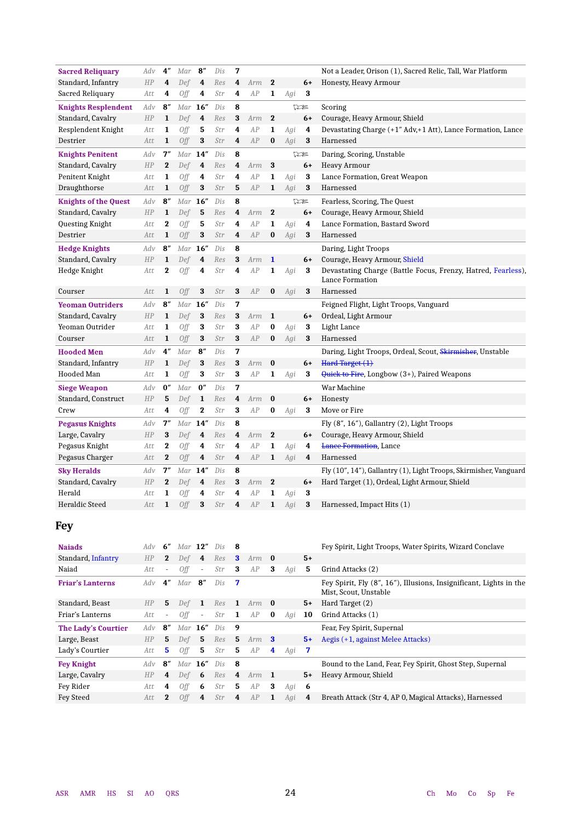| <b>Sacred Reliquary</b>     | Adv | 4″           | Mar        | $\mathbf{8}^{\prime\prime}$ | Dis | 7        |     |              |     |          | Not a Leader, Orison (1), Sacred Relic, Tall, War Platform                      |
|-----------------------------|-----|--------------|------------|-----------------------------|-----|----------|-----|--------------|-----|----------|---------------------------------------------------------------------------------|
| Standard, Infantry          | HP  | 4            | Def        | 4                           | Res | 4        | Arm | $\mathbf 2$  |     | $6+$     | Honesty, Heavy Armour                                                           |
| Sacred Reliquary            | Att | 4            | <b>Off</b> | 4                           | Str | 4        | AP  | $\mathbf{1}$ | Agi | 3        |                                                                                 |
| <b>Knights Resplendent</b>  | Adv | 8''          | Mar        | 16"                         | Dis | 8        |     |              |     | 75       | Scoring                                                                         |
| Standard, Cavalry           | HP  | $\mathbf{1}$ | Def        | 4                           | Res | 3        | Arm | $\mathbf 2$  |     | $6+$     | Courage, Heavy Armour, Shield                                                   |
| Resplendent Knight          | Att | 1            | Off        | 5                           | Str | 4        | AP  | $\mathbf{1}$ | Agi | 4        | Devastating Charge (+1" Adv,+1 Att), Lance Formation, Lance                     |
| Destrier                    | Att | 1            | Off        | 3                           | Str | 4        | AP  | $\bf{0}$     | Agi | 3        | Harnessed                                                                       |
| <b>Knights Penitent</b>     | Adv | 7''          | Mar        | 14"                         | Dis | 8        |     |              |     | 75       | Daring, Scoring, Unstable                                                       |
| Standard, Cavalry           | HP  | $\bf{2}$     | Def        | 4                           | Res | 4        | Arm | 3            |     | $6+$     | <b>Heavy Armour</b>                                                             |
| Penitent Knight             | Att | 1            | Off        | 4                           | Str | 4        | AP  | 1            | Agi | 3        | Lance Formation, Great Weapon                                                   |
| Draughthorse                | Att | $\mathbf{1}$ | Off        | 3                           | Str | 5        | AP  | 1            | Agi | 3        | Harnessed                                                                       |
| <b>Knights of the Quest</b> | Adv | 8''          | Mar        | 16"                         | Dis | 8        |     |              |     | 75       | Fearless, Scoring, The Quest                                                    |
| Standard, Cavalry           | HP  | $\mathbf{1}$ | Def        | 5                           | Res | 4        | Arm | $\mathbf 2$  |     | $6+$     | Courage, Heavy Armour, Shield                                                   |
| Questing Knight             | Att | $\bf{2}$     | 0ff        | 5                           | Str | 4        | AP  | $\mathbf{1}$ | Agi | 4        | Lance Formation, Bastard Sword                                                  |
| Destrier                    | Att | $\mathbf{1}$ | Off        | $\bf{3}$                    | Str | 4        | AP  | $\bf{0}$     | Agi | $\bf{3}$ | Harnessed                                                                       |
| <b>Hedge Knights</b>        | Adv | 8''          | Mar        | 16''                        | Dis | 8        |     |              |     |          | Daring, Light Troops                                                            |
| Standard, Cavalry           | HP  | $\mathbf{1}$ | Def        | 4                           | Res | $\bf{3}$ | Arm | $\mathbf{1}$ |     | $6+$     | Courage, Heavy Armour, Shield                                                   |
| Hedge Knight                | Att | $\bf{2}$     | Off        | 4                           | Str | 4        | AP  | 1            | Agi | 3        | Devastating Charge (Battle Focus, Frenzy, Hatred, Fearless),<br>Lance Formation |
| Courser                     | Att | 1            | Off        | 3                           | Str | 3        | AP  | $\bf{0}$     | Agi | 3        | Harnessed                                                                       |
| <b>Yeoman Outriders</b>     | Adv | 8''          | Mar        | 16"                         | Dis | 7        |     |              |     |          | Feigned Flight, Light Troops, Vanguard                                          |
| Standard, Cavalry           | HP  | 1            | Def        | 3                           | Res | 3        | Arm | $\mathbf{1}$ |     | $6+$     | Ordeal, Light Armour                                                            |
| Yeoman Outrider             | Att | 1            | Off        | 3                           | Str | 3        | AP  | $\bf{0}$     | Agi | 3        | Light Lance                                                                     |
| Courser                     | Att | $\mathbf{1}$ | Off        | 3                           | Str | 3        | AP  | $\bf{0}$     | Agi | 3        | Harnessed                                                                       |
| <b>Hooded Men</b>           | Adv | 4″           | Mar        | $\mathbf{8}^{\prime\prime}$ | Dis | 7        |     |              |     |          | Daring, Light Troops, Ordeal, Scout, Skirmisher, Unstable                       |
| Standard, Infantry          | HP  | $\mathbf{1}$ | Def        | 3                           | Res | 3        | Arm | $\bf{0}$     |     | $6+$     | Hard Target $(1)$                                                               |
| Hooded Man                  | Att | 1            | <b>Off</b> | 3                           | Str | 3        | AP  | 1            | Agi | 3        | Quick to Fire, Longbow (3+), Paired Weapons                                     |
| <b>Siege Weapon</b>         | Adv | 0''          | Mar        | 0''                         | Dis | 7        |     |              |     |          | War Machine                                                                     |
| Standard, Construct         | HP  | 5            | Def        | 1                           | Res | 4        | Arm | $\bf{0}$     |     | $6+$     | Honesty                                                                         |
| Crew                        | Att | 4            | <b>Off</b> | $\bf{2}$                    | Str | 3        | AP  | $\bf{0}$     | Agi | 3        | Move or Fire                                                                    |
| <b>Pegasus Knights</b>      | Adv | 7''          | Mar        | 14''                        | Dis | 8        |     |              |     |          | Fly $(8", 16")$ , Gallantry $(2)$ , Light Troops                                |
| Large, Cavalry              | HP  | 3            | Def        | 4                           | Res | 4        | Arm | $\mathbf 2$  |     | $6+$     | Courage, Heavy Armour, Shield                                                   |
| Pegasus Knight              | Att | $\bf{2}$     | Off        | 4                           | Str | 4        | AP  | 1            | Agi | 4        | <b>Lance Formation</b> , Lance                                                  |
| Pegasus Charger             | Att | $\bf{2}$     | Off        | 4                           | Str | 4        | AP  | 1            | Agi | 4        | Harnessed                                                                       |
| <b>Sky Heralds</b>          | Adv | 7''          | Mar        | 14"                         | Dis | 8        |     |              |     |          | Fly (10", 14"), Gallantry (1), Light Troops, Skirmisher, Vanguard               |
| Standard, Cavalry           | HP  | $\bf{2}$     | Def        | 4                           | Res | 3        | Arm | $\bf{2}$     |     | $6+$     | Hard Target (1), Ordeal, Light Armour, Shield                                   |
| Herald                      | Att | 1            | Off        | 4                           | Str | 4        | AP  | 1            | Agi | 3        |                                                                                 |
| <b>Heraldic Steed</b>       | Att | $\mathbf{1}$ | Off        | 3                           | Str | 4        | AP  | $\mathbf{1}$ | Agi | 3        | Harnessed, Impact Hits (1)                                                      |
|                             |     |              |            |                             |     |          |     |              |     |          |                                                                                 |

## **Fey**

| <b>Najads</b>              | Adv | 6"                          | $Mar$ 12"  |                             | Dis | -8           |     |          |     |      | Fey Spirit, Light Troops, Water Spirits, Wizard Conclave                                    |
|----------------------------|-----|-----------------------------|------------|-----------------------------|-----|--------------|-----|----------|-----|------|---------------------------------------------------------------------------------------------|
| Standard, Infantry         | HP  | $\mathbf{2}$                | Def        | 4                           | Res | $\mathbf{3}$ | Arm | $\bf{0}$ |     | $5+$ |                                                                                             |
| Naiad                      | Att | $\overline{\phantom{a}}$    | 0ff        | $\sim$                      | Str | 3            | AP  | 3        | Agi | 5    | Grind Attacks (2)                                                                           |
| <b>Friar's Lanterns</b>    | Adv | $4^{\prime\prime}$          | Mar        | $\mathbf{8}^{\prime\prime}$ | Dis | - 7          |     |          |     |      | Fey Spirit, Fly (8", 16"), Illusions, Insignificant, Lights in the<br>Mist. Scout. Unstable |
| Standard, Beast            | HP  | 5                           | Def        | -1                          | Res | 1            | Arm | $\bf{0}$ |     | $5+$ | Hard Target (2)                                                                             |
| Friar's Lanterns           | Att | $\overline{\phantom{a}}$    | Off        | $\sim$                      | Str | 1            | AP  | $\bf{0}$ | Agi | 10   | Grind Attacks (1)                                                                           |
| <b>The Lady's Courtier</b> | Adv | $\mathbf{8}^{\prime\prime}$ |            | Mar $16"$                   | Dis | 9            |     |          |     |      | Fear, Fey Spirit, Supernal                                                                  |
| Large, Beast               | HP  | 5                           | Def        | 5                           | Res | 5            | Arm | -3       |     | $5+$ | Aegis (+1, against Melee Attacks)                                                           |
| Lady's Courtier            | Att | 5                           | 0ff        | 5.                          | Str | 5            | AP  | 4        | Agi | 7    |                                                                                             |
| <b>Fey Knight</b>          | Adv | $\mathbf{R}^{\prime\prime}$ |            | Mar $16''$                  | Dis | -8           |     |          |     |      | Bound to the Land, Fear, Fey Spirit, Ghost Step, Supernal                                   |
| Large, Cavalry             | HP  | 4                           | Def        | - 6                         | Res | 4            | Arm | - 1      |     | $5+$ | Heavy Armour, Shield                                                                        |
| Fey Rider                  | Att | 4                           | 0ff        | 6                           | Str | 5            | AP  | 3        | Agi | 6    |                                                                                             |
| Fey Steed                  | Att | 2                           | <b>Off</b> | 4                           | Str | 4            | AP  | 1        | Agi | 4    | Breath Attack (Str 4, AP 0, Magical Attacks), Harnessed                                     |
|                            |     |                             |            |                             |     |              |     |          |     |      |                                                                                             |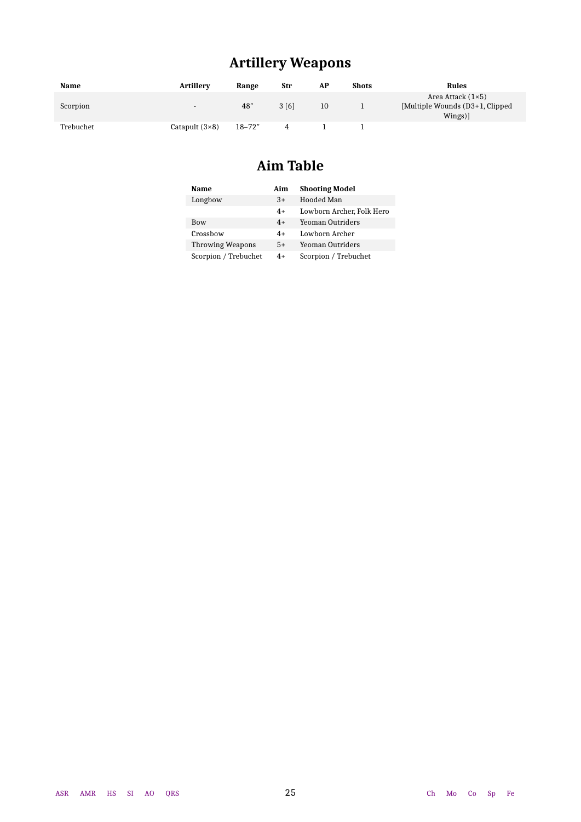## **Artillery Weapons**

| <b>Name</b> | <b>Artillerv</b>         | Range      | Str  | AP | <b>Shots</b> | Rules                                                                 |
|-------------|--------------------------|------------|------|----|--------------|-----------------------------------------------------------------------|
| Scorpion    | $\overline{\phantom{a}}$ | 48"        | 3[6] | 10 |              | Area Attack $(1\times5)$<br>[Multiple Wounds (D3+1, Clipped]<br>Wings |
| Trebuchet   | Catapult $(3\times8)$    | $18 - 72"$ |      |    |              |                                                                       |

## **Aim Table**

| Name                    | Aim  | <b>Shooting Model</b>     |
|-------------------------|------|---------------------------|
| Longbow                 | $3+$ | Hooded Man                |
|                         | $4+$ | Lowborn Archer, Folk Hero |
| <b>Bow</b>              | $4+$ | Yeoman Outriders          |
| Crossbow                | $4+$ | Lowborn Archer            |
| <b>Throwing Weapons</b> | $5+$ | Yeoman Outriders          |
| Scorpion / Trebuchet    | 4+   | Scorpion / Trebuchet      |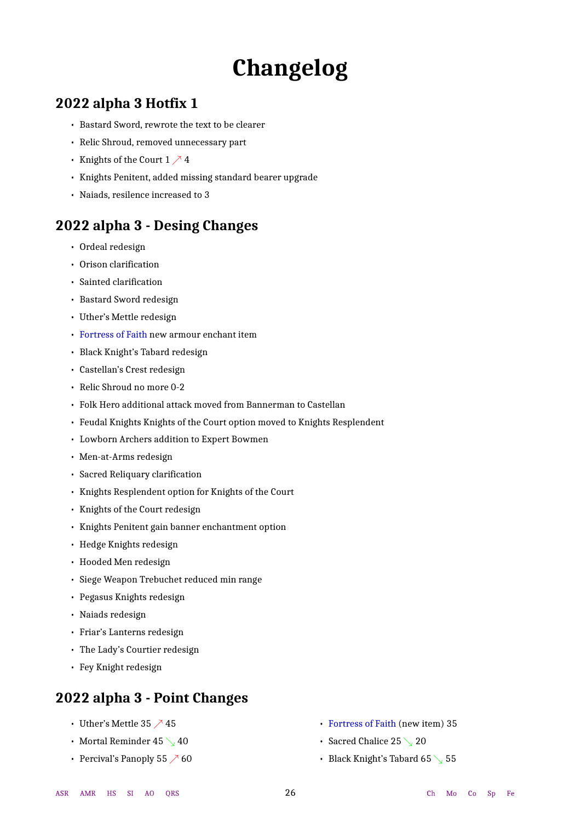## **Changelog**

## <span id="page-25-0"></span>**2022 alpha 3 Hotfix 1**

- Bastard Sword, rewrote the text to be clearer
- Relic Shroud, removed unnecessary part
- Knights of the Court  $1 \nearrow 4$
- Knights Penitent, added missing standard bearer upgrade
- Naiads, resilence increased to 3

## **2022 alpha 3 - Desing Changes**

- Ordeal redesign
- Orison clarification
- Sainted clarification
- Bastard Sword redesign
- Uther's Mettle redesign
- Fortress of Faith new armour enchant item
- Black Knight's Tabard redesign
- Castellan's Crest redesign
- Relic Shroud no more 0-2
- Folk Hero additional attack moved from Bannerman to Castellan
- Feudal Knights Knights of the Court option moved to Knights Resplendent
- Lowborn Archers addition to Expert Bowmen
- Men-at-Arms redesign
- Sacred Reliquary clarification
- Knights Resplendent option for Knights of the Court
- Knights of the Court redesign
- Knights Penitent gain banner enchantment option
- Hedge Knights redesign
- Hooded Men redesign
- Siege Weapon Trebuchet reduced min range
- Pegasus Knights redesign
- Naiads redesign
- Friar's Lanterns redesign
- The Lady's Courtier redesign
- Fey Knight redesign

## **2022 alpha 3 - Point Changes**

- Uther's Mettle 35  $\nearrow$  45
- Mortal Reminder 45  $\searrow$  40
- Percival's Panoply 55  $\nearrow$  60
- Fortress of Faith (new item) 35
- Sacred Chalice 25  $\searrow$  20
- Black Knight's Tabard 65 \S